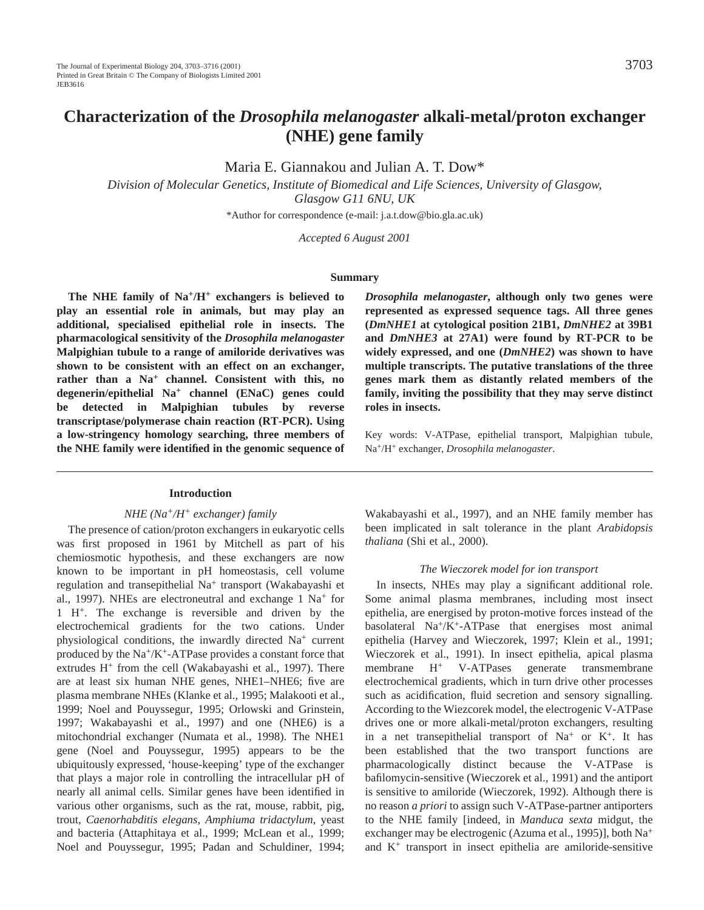# **Characterization of the** *Drosophila melanogaster* **alkali-metal/proton exchanger (NHE) gene family**

Maria E. Giannakou and Julian A. T. Dow\*

*Division of Molecular Genetics, Institute of Biomedical and Life Sciences, University of Glasgow, Glasgow G11 6NU, UK*

\*Author for correspondence (e-mail: j.a.t.dow@bio.gla.ac.uk)

*Accepted 6 August 2001*

#### **Summary**

**The NHE family of Na+/H+ exchangers is believed to play an essential role in animals, but may play an additional, specialised epithelial role in insects. The pharmacological sensitivity of the** *Drosophila melanogaster* **Malpighian tubule to a range of amiloride derivatives was shown to be consistent with an effect on an exchanger, rather than a Na<sup>+</sup> channel. Consistent with this, no degenerin/epithelial Na+ channel (ENaC) genes could be detected in Malpighian tubules by reverse transcriptase/polymerase chain reaction (RT-PCR). Using a low-stringency homology searching, three members of the NHE family were identified in the genomic sequence of**

### **Introduction**

## *NHE (Na+/H+ exchanger) family*

The presence of cation/proton exchangers in eukaryotic cells was first proposed in 1961 by Mitchell as part of his chemiosmotic hypothesis, and these exchangers are now known to be important in pH homeostasis, cell volume regulation and transepithelial Na+ transport (Wakabayashi et al., 1997). NHEs are electroneutral and exchange 1 Na<sup>+</sup> for 1 H+. The exchange is reversible and driven by the electrochemical gradients for the two cations. Under physiological conditions, the inwardly directed Na<sup>+</sup> current produced by the  $Na^+/K^+$ -ATPase provides a constant force that extrudes  $H^+$  from the cell (Wakabayashi et al., 1997). There are at least six human NHE genes, NHE1–NHE6; five are plasma membrane NHEs (Klanke et al., 1995; Malakooti et al., 1999; Noel and Pouyssegur, 1995; Orlowski and Grinstein, 1997; Wakabayashi et al., 1997) and one (NHE6) is a mitochondrial exchanger (Numata et al., 1998). The NHE1 gene (Noel and Pouyssegur, 1995) appears to be the ubiquitously expressed, 'house-keeping' type of the exchanger that plays a major role in controlling the intracellular pH of nearly all animal cells. Similar genes have been identified in various other organisms, such as the rat, mouse, rabbit, pig, trout, *Caenorhabditis elegans*, *Amphiuma tridactylum*, yeast and bacteria (Attaphitaya et al., 1999; McLean et al., 1999; Noel and Pouyssegur, 1995; Padan and Schuldiner, 1994;

*Drosophila melanogaster***, although only two genes were represented as expressed sequence tags. All three genes (***DmNHE1* **at cytological position 21B1,** *DmNHE2* **at 39B1 and** *DmNHE3* **at 27A1) were found by RT-PCR to be widely expressed, and one (***DmNHE2***) was shown to have multiple transcripts. The putative translations of the three genes mark them as distantly related members of the family, inviting the possibility that they may serve distinct roles in insects.**

Key words: V-ATPase, epithelial transport, Malpighian tubule, Na+/H+ exchanger, *Drosophila melanogaster*.

Wakabayashi et al., 1997), and an NHE family member has been implicated in salt tolerance in the plant *Arabidopsis thaliana* (Shi et al., 2000).

#### *The Wieczorek model for ion transport*

In insects, NHEs may play a significant additional role. Some animal plasma membranes, including most insect epithelia, are energised by proton-motive forces instead of the basolateral Na+/K+-ATPase that energises most animal epithelia (Harvey and Wieczorek, 1997; Klein et al., 1991; Wieczorek et al., 1991). In insect epithelia, apical plasma membrane H+ V-ATPases generate transmembrane electrochemical gradients, which in turn drive other processes such as acidification, fluid secretion and sensory signalling. According to the Wiezcorek model, the electrogenic V-ATPase drives one or more alkali-metal/proton exchangers, resulting in a net transepithelial transport of  $Na<sup>+</sup>$  or  $K<sup>+</sup>$ . It has been established that the two transport functions are pharmacologically distinct because the V-ATPase is bafilomycin-sensitive (Wieczorek et al., 1991) and the antiport is sensitive to amiloride (Wieczorek, 1992). Although there is no reason *a priori* to assign such V-ATPase-partner antiporters to the NHE family [indeed, in *Manduca sexta* midgut, the exchanger may be electrogenic (Azuma et al., 1995)], both Na<sup>+</sup> and K+ transport in insect epithelia are amiloride-sensitive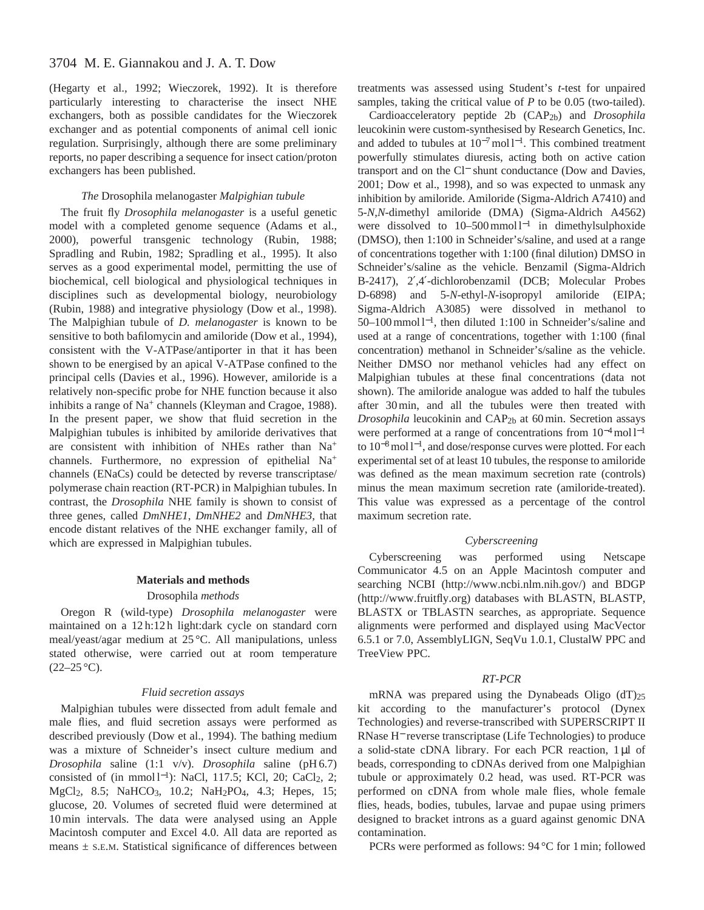(Hegarty et al., 1992; Wieczorek, 1992). It is therefore particularly interesting to characterise the insect NHE exchangers, both as possible candidates for the Wieczorek exchanger and as potential components of animal cell ionic regulation. Surprisingly, although there are some preliminary reports, no paper describing a sequence for insect cation/proton exchangers has been published.

# *The* Drosophila melanogaster *Malpighian tubule*

The fruit fly *Drosophila melanogaster* is a useful genetic model with a completed genome sequence (Adams et al., 2000), powerful transgenic technology (Rubin, 1988; Spradling and Rubin, 1982; Spradling et al., 1995). It also serves as a good experimental model, permitting the use of biochemical, cell biological and physiological techniques in disciplines such as developmental biology, neurobiology (Rubin, 1988) and integrative physiology (Dow et al., 1998). The Malpighian tubule of *D. melanogaster* is known to be sensitive to both bafilomycin and amiloride (Dow et al., 1994), consistent with the V-ATPase/antiporter in that it has been shown to be energised by an apical V-ATPase confined to the principal cells (Davies et al., 1996). However, amiloride is a relatively non-specific probe for NHE function because it also inhibits a range of Na<sup>+</sup> channels (Kleyman and Cragoe, 1988). In the present paper, we show that fluid secretion in the Malpighian tubules is inhibited by amiloride derivatives that are consistent with inhibition of NHEs rather than Na<sup>+</sup> channels. Furthermore, no expression of epithelial Na<sup>+</sup> channels (ENaCs) could be detected by reverse transcriptase/ polymerase chain reaction (RT-PCR) in Malpighian tubules. In contrast, the *Drosophila* NHE family is shown to consist of three genes, called *DmNHE1*, *DmNHE2* and *DmNHE3*, that encode distant relatives of the NHE exchanger family, all of which are expressed in Malpighian tubules.

#### **Materials and methods**

#### Drosophila *methods*

Oregon R (wild-type) *Drosophila melanogaster* were maintained on a 12 h:12 h light:dark cycle on standard corn meal/yeast/agar medium at 25 °C. All manipulations, unless stated otherwise, were carried out at room temperature  $(22-25\,^{\circ}\mathrm{C}).$ 

### *Fluid secretion assays*

Malpighian tubules were dissected from adult female and male flies, and fluid secretion assays were performed as described previously (Dow et al., 1994). The bathing medium was a mixture of Schneider's insect culture medium and *Drosophila* saline (1:1 v/v). *Drosophila* saline (pH 6.7) consisted of (in mmol l<sup>-1</sup>): NaCl, 117.5; KCl, 20; CaCl<sub>2</sub>, 2; MgCl<sub>2</sub>, 8.5; NaHCO<sub>3</sub>, 10.2; NaH<sub>2</sub>PO<sub>4</sub>, 4.3; Hepes, 15; glucose, 20. Volumes of secreted fluid were determined at 10 min intervals. The data were analysed using an Apple Macintosh computer and Excel 4.0. All data are reported as means  $\pm$  S.E.M. Statistical significance of differences between

treatments was assessed using Student's *t*-test for unpaired samples, taking the critical value of *P* to be 0.05 (two-tailed).

Cardioacceleratory peptide 2b (CAP2b) and *Drosophila* leucokinin were custom-synthesised by Research Genetics, Inc. and added to tubules at  $10^{-7}$  mol l<sup>-1</sup>. This combined treatment powerfully stimulates diuresis, acting both on active cation transport and on the Cl<sup>−</sup> shunt conductance (Dow and Davies, 2001; Dow et al., 1998), and so was expected to unmask any inhibition by amiloride. Amiloride (Sigma-Aldrich A7410) and 5-*N*,*N*-dimethyl amiloride (DMA) (Sigma-Aldrich A4562) were dissolved to 10–500 mmol l<sup>-1</sup> in dimethylsulphoxide (DMSO), then 1:100 in Schneider's/saline, and used at a range of concentrations together with 1:100 (final dilution) DMSO in Schneider's/saline as the vehicle. Benzamil (Sigma-Aldrich B-2417), 2′,4′-dichlorobenzamil (DCB; Molecular Probes D-6898) and 5-*N*-ethyl-*N*-isopropyl amiloride (EIPA; Sigma-Aldrich A3085) were dissolved in methanol to 50–100 mmol l<sup>−</sup>1, then diluted 1:100 in Schneider's/saline and used at a range of concentrations, together with 1:100 (final concentration) methanol in Schneider's/saline as the vehicle. Neither DMSO nor methanol vehicles had any effect on Malpighian tubules at these final concentrations (data not shown). The amiloride analogue was added to half the tubules after 30 min, and all the tubules were then treated with *Drosophila* leucokinin and CAP<sub>2b</sub> at 60 min. Secretion assays were performed at a range of concentrations from 10<sup>-4</sup> mol l<sup>-1</sup> to 10<sup>−</sup>8mol l−1, and dose/response curves were plotted. For each experimental set of at least 10 tubules, the response to amiloride was defined as the mean maximum secretion rate (controls) minus the mean maximum secretion rate (amiloride-treated). This value was expressed as a percentage of the control maximum secretion rate.

## *Cyberscreening*

Cyberscreening was performed using Netscape Communicator 4.5 on an Apple Macintosh computer and searching NCBI [\(http://www.ncbi.nlm.nih.gov/\)](http://www.ncbi.nlm.nih.gov/) and BDGP [\(http://www.fruitfly.org\)](http://www.fruitfly.org) databases with BLASTN, BLASTP, BLASTX or TBLASTN searches, as appropriate. Sequence alignments were performed and displayed using MacVector 6.5.1 or 7.0, AssemblyLIGN, SeqVu 1.0.1, ClustalW PPC and TreeView PPC.

#### *RT-PCR*

mRNA was prepared using the Dynabeads Oligo (dT)25 kit according to the manufacturer's protocol (Dynex Technologies) and reverse-transcribed with SUPERSCRIPT II RNase H<sup>−</sup> reverse transcriptase (Life Technologies) to produce a solid-state cDNA library. For each PCR reaction, 1 µl of beads, corresponding to cDNAs derived from one Malpighian tubule or approximately 0.2 head, was used. RT-PCR was performed on cDNA from whole male flies, whole female flies, heads, bodies, tubules, larvae and pupae using primers designed to bracket introns as a guard against genomic DNA contamination.

PCRs were performed as follows: 94 °C for 1 min; followed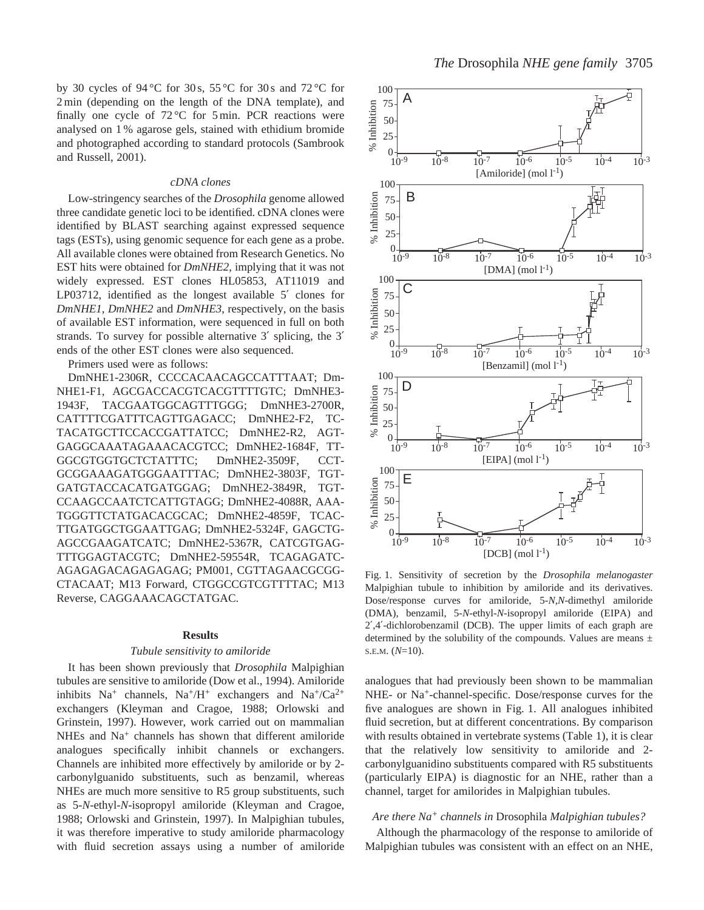by 30 cycles of 94 °C for 30 s, 55 °C for 30 s and 72 °C for 2 min (depending on the length of the DNA template), and finally one cycle of  $72^{\circ}$ C for 5 min. PCR reactions were analysed on 1 % agarose gels, stained with ethidium bromide and photographed according to standard protocols (Sambrook and Russell, 2001).

#### *cDNA clones*

Low-stringency searches of the *Drosophila* genome allowed three candidate genetic loci to be identified. cDNA clones were identified by BLAST searching against expressed sequence tags (ESTs), using genomic sequence for each gene as a probe. All available clones were obtained from Research Genetics. No EST hits were obtained for *DmNHE2*, implying that it was not widely expressed. EST clones HL05853, AT11019 and LP03712, identified as the longest available 5' clones for *DmNHE1*, *DmNHE2* and *DmNHE3*, respectively, on the basis of available EST information, were sequenced in full on both strands. To survey for possible alternative 3′ splicing, the 3′ ends of the other EST clones were also sequenced.

Primers used were as follows:

DmNHE1-2306R, CCCCACAACAGCCATTTAAT; Dm-NHE1-F1, AGCGACCACGTCACGTTTTGTC; DmNHE3- 1943F, TACGAATGGCAGTTTGGG; DmNHE3-2700R, CATTTTCGATTTCAGTTGAGACC; DmNHE2-F2, TC-TACATGCTTCCACCGATTATCC; DmNHE2-R2, AGT-GAGGCAAATAGAAACACGTCC; DmNHE2-1684F, TT-GGCGTGGTGCTCTATTTC; DmNHE2-3509F, CCT-GCGGAAAGATGGGAATTTAC; DmNHE2-3803F, TGT-GATGTACCACATGATGGAG; DmNHE2-3849R, TGT-CCAAGCCAATCTCATTGTAGG; DmNHE2-4088R, AAA-TGGGTTCTATGACACGCAC; DmNHE2-4859F, TCAC-TTGATGGCTGGAATTGAG; DmNHE2-5324F, GAGCTG-AGCCGAAGATCATC; DmNHE2-5367R, CATCGTGAG-TTTGGAGTACGTC; DmNHE2-59554R, TCAGAGATC-AGAGAGACAGAGAGAG; PM001, CGTTAGAACGCGG-CTACAAT; M13 Forward, CTGGCCGTCGTTTTAC; M13 Reverse, CAGGAAACAGCTATGAC.

# **Results**

#### *Tubule sensitivity to amiloride*

It has been shown previously that *Drosophila* Malpighian tubules are sensitive to amiloride (Dow et al., 1994). Amiloride inhibits  $Na^+$  channels,  $Na^+/H^+$  exchangers and  $Na^+/Ca^{2+}$ exchangers (Kleyman and Cragoe, 1988; Orlowski and Grinstein, 1997). However, work carried out on mammalian NHEs and Na<sup>+</sup> channels has shown that different amiloride analogues specifically inhibit channels or exchangers. Channels are inhibited more effectively by amiloride or by 2 carbonylguanido substituents, such as benzamil, whereas NHEs are much more sensitive to R5 group substituents, such as 5-*N*-ethyl-*N*-isopropyl amiloride (Kleyman and Cragoe, 1988; Orlowski and Grinstein, 1997). In Malpighian tubules, it was therefore imperative to study amiloride pharmacology with fluid secretion assays using a number of amiloride



Fig. 1. Sensitivity of secretion by the *Drosophila melanogaster* Malpighian tubule to inhibition by amiloride and its derivatives. Dose/response curves for amiloride, 5-*N*,*N*-dimethyl amiloride (DMA), benzamil, 5-*N*-ethyl-*N*-isopropyl amiloride (EIPA) and 2′,4′-dichlorobenzamil (DCB). The upper limits of each graph are determined by the solubility of the compounds. Values are means  $\pm$ S.E.M. (*N*=10).

analogues that had previously been shown to be mammalian NHE- or Na+-channel-specific. Dose/response curves for the five analogues are shown in Fig. 1. All analogues inhibited fluid secretion, but at different concentrations. By comparison with results obtained in vertebrate systems (Table 1), it is clear that the relatively low sensitivity to amiloride and 2 carbonylguanidino substituents compared with R5 substituents (particularly EIPA) is diagnostic for an NHE, rather than a channel, target for amilorides in Malpighian tubules.

# *Are there Na<sup>+</sup> channels in* Drosophila *Malpighian tubules?*

Although the pharmacology of the response to amiloride of Malpighian tubules was consistent with an effect on an NHE,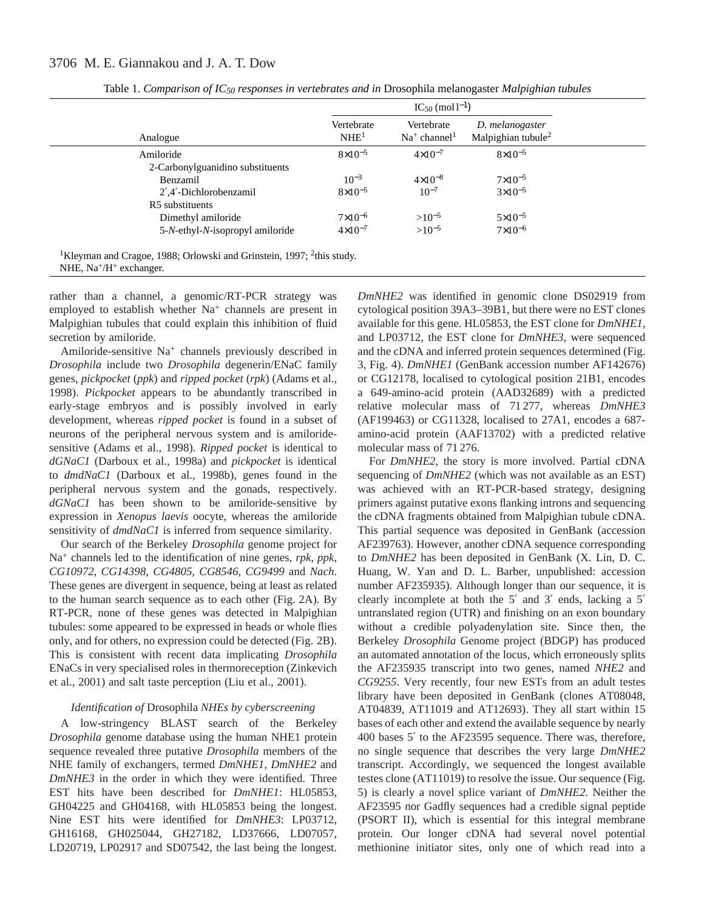# 3706 M. E. Giannakou and J. A. T. Dow

|                                                   |                                | $IC_{50}$ (mol $l^{-1}$ )    |                                                   |
|---------------------------------------------------|--------------------------------|------------------------------|---------------------------------------------------|
| Analogue                                          | Vertebrate<br>NHE <sup>1</sup> | Vertebrate<br>$Na+ channel1$ | D. melanogaster<br>Malpighian tubule <sup>2</sup> |
| Amiloride                                         | $8\times10^{-5}$               | $4 \times 10^{-7}$           | $8\times10^{-5}$                                  |
| 2-Carbonylguanidino substituents                  |                                |                              |                                                   |
| Benzamil                                          | $10^{-3}$                      | $4 \times 10^{-8}$           | $7 \times 10^{-5}$                                |
| 2',4'-Dichlorobenzamil                            | $8\times10^{-5}$               | $10^{-7}$                    | $3 \times 10^{-5}$                                |
| R5 substituents                                   |                                |                              |                                                   |
| Dimethyl amiloride                                | $7 \times 10^{-6}$             | $>10^{-5}$                   | $5 \times 10^{-5}$                                |
| 5- <i>N</i> -ethyl- <i>N</i> -isopropyl amiloride | $4 \times 10^{-7}$             | $>10^{-5}$                   | $7 \times 10^{-6}$                                |

Table 1. *Comparison of IC50 responses in vertebrates and in* Drosophila melanogaster *Malpighian tubules* 

<sup>1</sup>Kleyman and Cragoe, 1988; Orlowski and Grinstein, 1997; <sup>2</sup>this study. NHE,  $Na^+/H^+$  exchanger.

rather than a channel, a genomic/RT-PCR strategy was employed to establish whether Na<sup>+</sup> channels are present in Malpighian tubules that could explain this inhibition of fluid secretion by amiloride.

Amiloride-sensitive Na<sup>+</sup> channels previously described in *Drosophila* include two *Drosophila* degenerin/ENaC family genes, *pickpocket* (*ppk*) and *ripped pocket* (*rpk*) (Adams et al., 1998). *Pickpocket* appears to be abundantly transcribed in early-stage embryos and is possibly involved in early development, whereas *ripped pocket* is found in a subset of neurons of the peripheral nervous system and is amiloridesensitive (Adams et al., 1998). *Ripped pocket* is identical to *dGNaC1* (Darboux et al., 1998a) and *pickpocket* is identical to *dmdNaC1* (Darboux et al., 1998b), genes found in the peripheral nervous system and the gonads, respectively. *dGNaC1* has been shown to be amiloride-sensitive by expression in *Xenopus laevis* oocyte, whereas the amiloride sensitivity of  $dmdNaCl$  is inferred from sequence similarity.

Our search of the Berkeley *Drosophila* genome project for Na+ channels led to the identification of nine genes, *rpk*, *ppk*, *CG10972*, *CG14398*, *CG4805*, *CG8546*, *CG9499* and *Nach*. These genes are divergent in sequence, being at least as related to the human search sequence as to each other (Fig. 2A). By RT-PCR, none of these genes was detected in Malpighian tubules: some appeared to be expressed in heads or whole flies only, and for others, no expression could be detected (Fig. 2B). This is consistent with recent data implicating *Drosophila* ENaCs in very specialised roles in thermoreception (Zinkevich et al., 2001) and salt taste perception (Liu et al., 2001).

# *Identification of* Drosophila *NHEs by cyberscreening*

A low-stringency BLAST search of the Berkeley *Drosophila* genome database using the human NHE1 protein sequence revealed three putative *Drosophila* members of the NHE family of exchangers, termed *DmNHE1*, *DmNHE2* and *DmNHE3* in the order in which they were identified. Three EST hits have been described for *DmNHE1*: HL05853, GH04225 and GH04168, with HL05853 being the longest. Nine EST hits were identified for *DmNHE3*: LP03712, GH16168, GH025044, GH27182, LD37666, LD07057, LD20719, LP02917 and SD07542, the last being the longest.

*DmNHE2* was identified in genomic clone DS02919 from cytological position 39A3–39B1, but there were no EST clones available for this gene. HL05853, the EST clone for *DmNHE1*, and LP03712, the EST clone for *DmNHE3*, were sequenced and the cDNA and inferred protein sequences determined (Fig. 3, Fig. 4). *DmNHE1* (GenBank accession number AF142676) or CG12178, localised to cytological position 21B1, encodes a 649-amino-acid protein (AAD32689) with a predicted relative molecular mass of 71 277, whereas *DmNHE3* (AF199463) or CG11328, localised to 27A1, encodes a 687 amino-acid protein (AAF13702) with a predicted relative molecular mass of 71 276.

For *DmNHE2*, the story is more involved. Partial cDNA sequencing of *DmNHE2* (which was not available as an EST) was achieved with an RT-PCR-based strategy, designing primers against putative exons flanking introns and sequencing the cDNA fragments obtained from Malpighian tubule cDNA. This partial sequence was deposited in GenBank (accession AF239763). However, another cDNA sequence corresponding to *DmNHE2* has been deposited in GenBank (X. Lin, D. C. Huang, W. Yan and D. L. Barber, unpublished: accession number AF235935). Although longer than our sequence, it is clearly incomplete at both the 5′ and 3′ ends, lacking a 5′ untranslated region (UTR) and finishing on an exon boundary without a credible polyadenylation site. Since then, the Berkeley *Drosophila* Genome project (BDGP) has produced an automated annotation of the locus, which erroneously splits the AF235935 transcript into two genes, named *NHE2* and *CG9255*. Very recently, four new ESTs from an adult testes library have been deposited in GenBank (clones AT08048, AT04839, AT11019 and AT12693). They all start within 15 bases of each other and extend the available sequence by nearly 400 bases 5′ to the AF23595 sequence. There was, therefore, no single sequence that describes the very large *DmNHE2* transcript. Accordingly, we sequenced the longest available testes clone (AT11019) to resolve the issue. Our sequence (Fig. 5) is clearly a novel splice variant of *DmNHE2*. Neither the AF23595 nor Gadfly sequences had a credible signal peptide (PSORT II), which is essential for this integral membrane protein. Our longer cDNA had several novel potential methionine initiator sites, only one of which read into a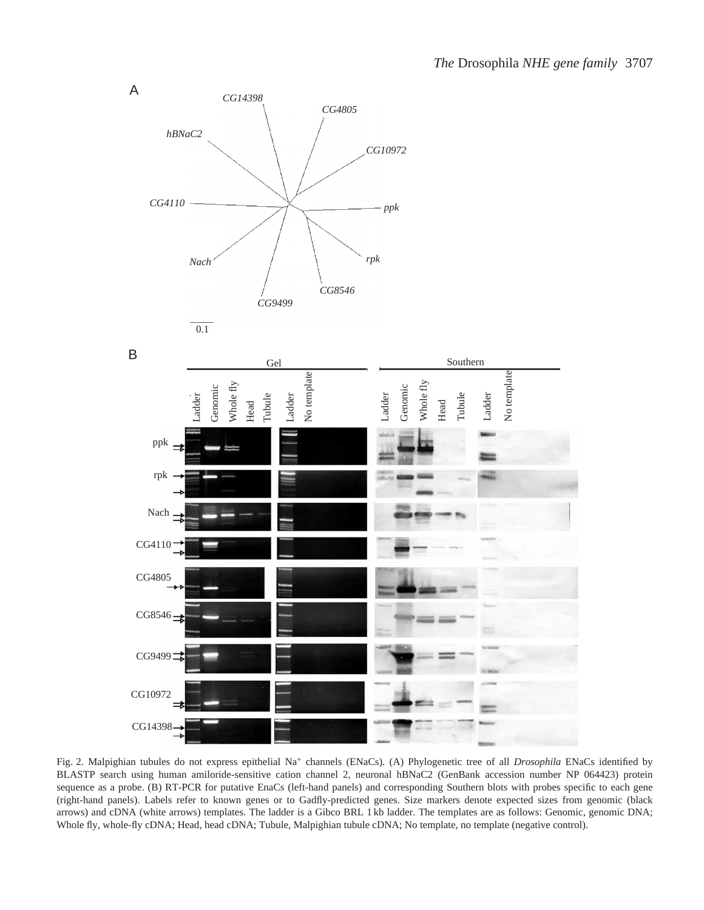

Fig. 2. Malpighian tubules do not express epithelial Na<sup>+</sup> channels (ENaCs). (A) Phylogenetic tree of all *Drosophila* ENaCs identified by BLASTP search using human amiloride-sensitive cation channel 2, neuronal hBNaC2 (GenBank accession number NP 064423) protein sequence as a probe. (B) RT-PCR for putative EnaCs (left-hand panels) and corresponding Southern blots with probes specific to each gene (right-hand panels). Labels refer to known genes or to Gadfly-predicted genes. Size markers denote expected sizes from genomic (black arrows) and cDNA (white arrows) templates. The ladder is a Gibco BRL 1 kb ladder. The templates are as follows: Genomic, genomic DNA; Whole fly, whole-fly cDNA; Head, head cDNA; Tubule, Malpighian tubule cDNA; No template, no template (negative control).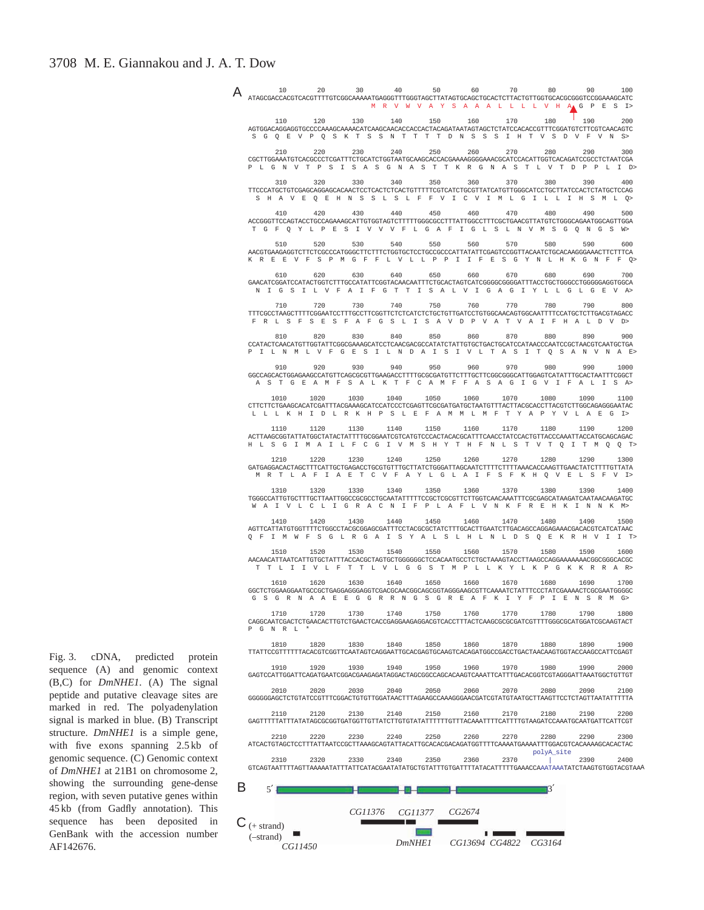|             |           |           | MRVWVAYSAAALLLLVHAGPESI>                                                                                                                                                    |                |                |           |                             |                 |      |
|-------------|-----------|-----------|-----------------------------------------------------------------------------------------------------------------------------------------------------------------------------|----------------|----------------|-----------|-----------------------------|-----------------|------|
|             |           |           | 110 120 130 140 150 160 170<br>AGTGGACAGGAGGTGCCCCCAAAGCAAAACATCAAGCAACACCACCACTACAGATAATAGTAGCTCTATCCACACCGTTTCGGATGTCTTCGTCAACAGTC                                        |                |                |           | 180                         | $\frac{1}{190}$ | 200  |
|             |           |           | S G Q E V P Q S K T S S N T T T T D N S S S I H T V S D V F V N S>                                                                                                          |                |                |           |                             |                 |      |
| 210         | 220       | 230       | 240<br>CGCTTGGAAATGTCACGCCCTCGATTTCTGCATCTGGTAATGCAAGCACCACGAAAAGGGGAAACGCATCCACATTGGTCACAGATCCGCCTCTAATCGA<br>PLGNVTPSISASGNASTTKRGNASTLVTDPPLID>                          | 250            | 260            | 270       | 280                         | 2.90            | 300  |
| 310         | 320       | 330 340   |                                                                                                                                                                             |                | 350 360 370    |           | 380                         | 390             | 400  |
|             |           |           | TTCCCATGCTGTCGAGCAGCAGCACAACTCCTCACTCTCTCACTGTTTTCGTCATCTGCGTTATCATGTTGGGCATCCTGCTTATCCACTCTATGCTCCAG<br>S H A V E O E H N S S L S L F F V I C V I M L G I L L I H S M L O> |                |                |           |                             |                 |      |
| 410         | 420       | 430       | 440<br>ACCGGGTTCCAGTACCTGCCAGAAAGCATTGTGGTAGTCTTTTTGGGCGCCTTTATTGGCCTTTCGCTGAACGTTATGTCTGGGCAGAATGGCAGTTGGA                                                                 | 450            | 460            | 470       | 480                         | 490             | 500  |
|             |           |           | T G F O Y L P E S I V V V F L G A F I G L S L N V M S G O N G S W>                                                                                                          |                |                |           |                             |                 |      |
| 510         | 520       |           | 530 540 550 560 570<br>AACGTGAAGAGGTCTTCTCGCCCATGGGCTTCTTTCTGGTGCTCCTGCCGCCCATTATATTCGAGTCCGGTTACAATCTGCACAAGGGAAACTTCTTTCA                                                 |                |                |           | 580                         | 590             | 600  |
|             |           |           | K R E E V F S P M G F F L V L L P P I I F E S G Y N L H K G N F F Q>                                                                                                        |                |                |           |                             |                 |      |
| 610         | 620       | 630       | 640<br>GAACATCGGATCCATACTGGTCTTTGCCATATTCGGTACAACAATTTCTGCACTAGTCATCGGGGCGGGGATTTACCTGCTGGGCCTGGGGAAGGTGCA                                                                  | 650            | 660            | 670       | 680                         | 690             | 700  |
|             |           |           | NIGSILVFAIFGTTISALVIGAGIYLLGLGEVA>                                                                                                                                          |                |                |           |                             |                 |      |
| 710         | 720       | 730       | 740                                                                                                                                                                         | 750 760        |                | 770       | 780                         | 790             | 800  |
|             |           |           | FRL SFSESFAFGSLISAVDPVATVAIFHALDVD>                                                                                                                                         |                |                |           |                             |                 |      |
| 810         | 820       | 830       | 840<br>CCATACTCAACATGTTGGTATTCGGCGAAAGCATCCTCAACGACGCCATATCTATTGTGCTGACTGCATCCATAACCCAATCCGCTAACGTCAATGCTGA                                                                 | 850            | 860            | 870       | 880                         | 890             | 900  |
|             |           |           | PIL N M L V F G E S I L N D A I S I V L T A S I T Q S A N V N A E>                                                                                                          |                |                |           |                             |                 |      |
| 910         | 920       | 930       | 940<br>GGCCAGCACTGGAGAAGCCATGTTCAGCGCGTTGAAGACCTTTTGCGCGATGTTCTTTGCTTCGGCGGCATTGGAGTCATATTTGCACTAATTTCGGCT                                                                  | 950            | 960            | 970       | 980                         | 990             | 1000 |
|             |           |           | A S T G E A M F S A L K T F C A M F F A S A G I G V I F A L I S A>                                                                                                          |                |                |           |                             |                 |      |
| 1010        | 1020      | 1030      | 1040                                                                                                                                                                        | 1050           | 1060           | 1070      | 1080                        | 1090            | 1100 |
|             |           |           | L L L K H I D L R K H P S L E F A M M L M F T Y A P Y V L A E G I>                                                                                                          |                |                |           |                             |                 |      |
| 1110        |           |           | 1120 1130 1140 1150 1160 1170 1180<br>ACTTAAGCGGTATTATGGCTATACTATTTTGCGGAATCGTCATGTCCACTACACGCATTTCAACCTATCCACTGTTACCCAAATTACCATGCAGCAGAC                                   |                |                |           |                             | 1190 1200       |      |
|             |           |           | H L S G I M A I L F C G I V M S H Y T H F N L S T V T Q I T M Q Q T>                                                                                                        |                |                |           |                             |                 |      |
| 1210        | 1220      | 1230 1240 | ${\tt GATGAGGACACTAGCTTTCATTGCTGAGACCTGCGTGTTTGCTTATCTGGGATTAGCAATCTTTTCTTTTAAACACCAAGTTGAACTTTTTGTTTTATA$                                                                  |                | 1250 1260 1270 |           | 1280                        | 1290 1300       |      |
|             |           |           | M R T L A F I A E T C V F A Y L G L A I F S F K H Q V E L S F V I>                                                                                                          |                |                |           |                             |                 |      |
| 1310        | 1320      | 1330      | 1340<br>TGGGCCATTGTGCTTTGCTTAATTGGCCGCGCCTGCAATATTTTTCCGCTCGCGTTCTTGGTCAACAAATTTCGCGAGCATAAGATCAATAACAAGATGC                                                                | 1350           | 1360           | 1370      | 1380                        | 1390            | 1400 |
|             |           |           | WAIVLCLIGRACNIFPLAFLVNKFREHKINNKM>                                                                                                                                          |                |                |           |                             |                 |      |
| 1410        | 1420      |           | 1430 1440 1450 1460 1470 1480<br>AGTTCATTATGTGGTTTTCTGGCCTACGCGGAGCGATTTCCTACGCGCTATCTTTGCACTTGAATCTTGACAGCCAGGAGAAACGACACGTCATCATAAC                                       |                |                |           |                             | 1490 1500       |      |
|             |           |           | Q F I M W F S G L R G A I S Y A L S L H L N L D S Q E K R H V I I T>                                                                                                        |                |                |           |                             |                 |      |
|             |           |           | 1510 1520 1530 1540 1550 1560 1570 1580 1590<br>AACAACATTAATCATTGTGCTATTTACCACGCTAGTGCTGGGGGCTCCACAATGCCTCTGCTAAGTACCTTAAGCCAGGAAAAAAACGGCGGCACGC                           |                |                |           |                             |                 | 1600 |
|             |           |           | T T L I I V L F T T L V L G G S T M P L L K Y L K P G K K R R A R>                                                                                                          |                |                |           |                             |                 |      |
|             |           |           | 1610 1620 1630 1640 1650 1660 1670 1680 1690 1700<br>GGCTCTGGAAGGAATGCCGCTGAGGAGGGAGGTCGACGCAACGGCAGCGGTAGGGAAGCGTTCAAAATCTATTTCCCTATCGAAAACTCGCGAATGGGGC                   |                |                |           |                             |                 |      |
|             |           |           | G S G R N A A E E G G R R N G S G R E A F K I Y F P I E N S R M G>                                                                                                          |                |                |           |                             |                 |      |
| 1710        | 1720      |           | 1730 1740 1750<br>CAGGCAATCGACTCTGAACACTTGTCTGAACTCACCGAGGAAGAGGACGTCACCTTTACTCAAGCGCGCGATCGTTTTGGGCGCATGGATCGCAAGTACT                                                      |                | 1760           | 1770      | 1780                        | 1790            | 1800 |
| P G N R L * |           |           |                                                                                                                                                                             |                |                |           |                             |                 |      |
| 1810        | 1820      | 1830      | 1840<br>TTATTCCGTTTTTTACACGTCGGTTCAATAGTCAGGAATTGCACGAGTGCAAGTCACAGATGGCCGACCTGACTAACAAGTGGTACCAAGCCATTCGAGT                                                                | 1850           | 1860           | 1870      | 1880                        | 1890            | 1900 |
| 1910        | 1920      | 1930      | 1940                                                                                                                                                                        | 1950           | 1960           | 1970      | 1980                        | 1990            | 2000 |
|             |           |           | GAGTCCATTGGATTCAGATGAATCGGACGAAGAGATAGGACTAGCGGCCAGCACAAGTCAAATTCATTTGACACGGTCGTAGGGATTAAATGGCTGTTGT                                                                        |                |                |           |                             |                 |      |
| 2010        | 2020      | 2030      | 2040<br>GGGGGGAGCTCTGTATCCGTTTCGGACTGTGTTGGATAACTTTAGAAGCCAAAGGGAACGATCGTATGTAATGCTTAAGTTCCTCTAGTTAATATTTTTA                                                                | 2050           | 2060           | 2070      | 2080                        | 2090            | 2100 |
| 2110        | 2120 2130 |           | 2140                                                                                                                                                                        | 2150           |                | 2160 2170 | 2180                        | 2190            | 2200 |
|             |           |           |                                                                                                                                                                             |                |                |           |                             |                 |      |
| 2210        | 2220      | 2230      | 2240<br>ATCACTGTAGCTCCTTTATTAATCCGCTTAAAGCAGTATTACATTGCACACGACAGATGGTTTTCAAAATGAAAATTTGGACGTCACAAAAGCACACTAC                                                                | 2250           | 2260           | 2270      | 2280                        | 2290            | 2300 |
| 2310        | 2320      | 2330      | 2340                                                                                                                                                                        | 2350           | 2360           | 2370      | polyA_site<br>$\mathcal{L}$ | 2390            | 2400 |
|             |           |           |                                                                                                                                                                             |                |                |           |                             |                 |      |
|             |           |           |                                                                                                                                                                             |                |                |           |                             |                 |      |
|             |           |           |                                                                                                                                                                             |                |                |           |                             |                 |      |
|             |           | CG11376   |                                                                                                                                                                             | <i>CG11377</i> | CG2674         |           |                             |                 |      |

*CG13694 CG4822 CG3164 CG11450 DmNHE1*

Fig. 3. cDNA, predicted protein sequence (A) and genomic context (B,C) for *DmNHE1*. (A) The signal peptide and putative cleavage sites are marked in red. The polyadenylation signal is marked in blue. (B) Transcript structure. *DmNHE1* is a simple gene, with five exons spanning 2.5 kb of genomic sequence. (C) Genomic context of *DmNHE1* at 21B1 on chromosome 2, showing the surrounding gene-dense region, with seven putative genes within 45 kb (from Gadfly annotation). This sequence has been deposited in GenBank with the accession number AF142676.

(–strand)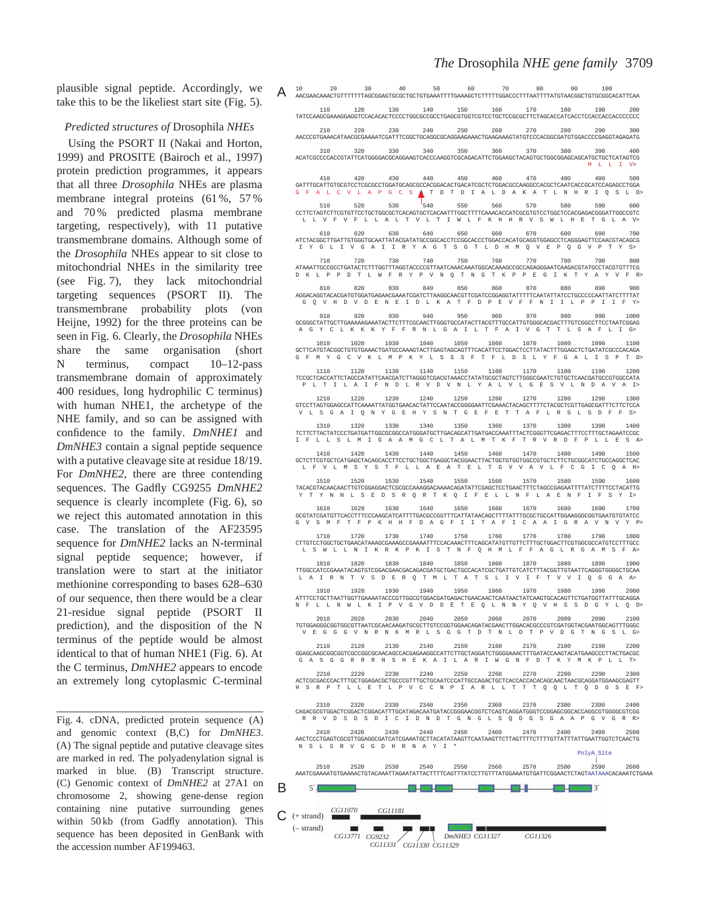plausible signal peptide. Accordingly, we take this to be the likeliest start site (Fig. 5).

### *Predicted structures of* Drosophila *NHEs*

Using the PSORT II (Nakai and Horton, 1999) and PROSITE (Bairoch et al., 1997) protein prediction programmes, it appears that all three *Drosophila* NHEs are plasma membrane integral proteins (61 %, 57 % and 70 % predicted plasma membrane targeting, respectively), with 11 putative transmembrane domains. Although some of the *Drosophila* NHEs appear to sit close to mitochondrial NHEs in the similarity tree (see Fig. 7), they lack mitochondrial targeting sequences (PSORT II). The transmembrane probability plots (von Heijne, 1992) for the three proteins can be seen in Fig. 6. Clearly, the *Drosophila* NHEs share the same organisation (short N terminus, compact 10–12-pass transmembrane domain of approximately 400 residues, long hydrophilic C terminus) with human NHE1, the archetype of the NHE family, and so can be assigned with confidence to the family. *DmNHE1* and *DmNHE3* contain a signal peptide sequence with a putative cleavage site at residue 18/19. For *DmNHE2*, there are three contending sequences. The Gadfly CG9255 *DmNHE2* sequence is clearly incomplete (Fig. 6), so we reject this automated annotation in this case. The translation of the AF23595 sequence for *DmNHE2* lacks an N-terminal signal peptide sequence; however, if translation were to start at the initiator methionine corresponding to bases 628–630 of our sequence, then there would be a clear 21-residue signal peptide (PSORT II prediction), and the disposition of the N terminus of the peptide would be almost identical to that of human NHE1 (Fig. 6). At the C terminus, *DmNHE2* appears to encode an extremely long cytoplasmic C-terminal

Fig. 4. cDNA, predicted protein sequence (A) and genomic context (B,C) for *DmNHE3*. (A) The signal peptide and putative cleavage sites are marked in red. The polyadenylation signal is marked in blue. (B) Transcript structure. (C) Genomic context of *DmNHE2* at 27A1 on chromosome 2, showing gene-dense region containing nine putative surrounding genes within 50 kb (from Gadfly annotation). This sequence has been deposited in GenBank with the accession number AF199463.

B

 $\mathcal{C}$ 

| 110                 | 120            | 130       | 140                             | 150            | 160                 | 170       | 180<br>TATCCAAGCGAAAGGAGGTCCACACACTCCCCTGGCGCCCCTGAGCGTGGTCGTCCTCCTCCCCCCTTCTAGCACCATCACCTCCACCACCACCCCCC                                                                            | 190               | 200  |
|---------------------|----------------|-----------|---------------------------------|----------------|---------------------|-----------|--------------------------------------------------------------------------------------------------------------------------------------------------------------------------------------|-------------------|------|
| 210                 | 220            | 230       | 240                             | 250            | 260                 | 270       | 280<br>AACCCGTGAAACATAACGCGAAAATCGATTTCGGCTGCAGGCGCAGGAAGAAACTGAAGAAAGTATGTCCCACGGCGATGTGGACCCCGAGGTAGAGATG                                                                          | 290               | 300  |
| 310                 | 320            | 330       | 340                             | 350            | 360                 | 370       | 380<br>ACATCGCCCCACCGTATTCATGGGGACGCAGGAAGTCACCCAAGGTCGCAGACATTCTGGAAGCTACAGTGCTGGCGGAGCATGCTCATAGTCG                                                                                | 390<br>M L L I V> | 400  |
| 410                 | 420            | 430       | 440                             | 450            | 460                 | 470       | 480                                                                                                                                                                                  | 490               | 500  |
| 510                 | 520            | 530       | $\begin{matrix} 1 \end{matrix}$ | 550            | 560                 | 570       | G F A L C V L A P G C S A T D T D I A L D A K A T L N H R I Q S L D><br>580                                                                                                          | 590               | 600  |
|                     |                |           |                                 |                |                     |           | L L V F V F L L A L T V L T I W L F K H H R V S W L H E T G L A V>                                                                                                                   |                   |      |
| 610                 | 620            | 630       | 640                             | 650            | 660                 | 670       | 680<br>I Y G L I V G A I I R Y A G T S G T L D H M Q V E P Q G V P T Y S>                                                                                                            | 690               | 700  |
| 710                 | 720            | 730       | 740                             | 750            | 760                 | 770       | 780<br>ATAAATTGCCGCCTGATACTCTTTGGTTTAGGTACCCCGTTAATCAAAACAAATGGCAAAAGCCGCCAGAGGGAATCAAGACGTATGCCTACGTGTTTCG<br>D K L P P D T L W F R Y P V N Q T N G T K P P E G I K T Y A Y V F R>  | 790               | 800  |
| 810                 | 820            | 830       | 840                             | 850            | 860                 | 870       | 880<br>AGGACAGGTACACGATGTGGATGAGAACGAAATCGATCTTAAGGCAACGTTCGATCCGGAGGTATTTTTCAATATTATCCTGCCCCCAATTATCTTTTAT                                                                          | 890               | 900  |
| 910                 | 920            | 930       | 940                             | 950            | 960                 | 970       | G Q V H D V D E N E I D L K A T F D P E V F F N I I L P P I I F Y><br>980                                                                                                            | 990               | 1000 |
|                     |                |           |                                 |                |                     |           | GCGGGCTATTGCTTGAAAAAGAAATACTTCTTTCGCAACTTGGGTGCCATACTTACGTTTGCCATTGTGGGCACGACTTTGTCGGCCTTCCTAATCGGAG<br>A G Y C L K K K Y F F R N L G A I L T F A I V G T T L S A F L I G>           |                   |      |
| 1010                | 1020           | 1030      | 1040                            | 1050           | 1060                | 1070      | 1080<br>GCTTCATGTACGGCTGTGTGAAACTGATGCCAAAGTACTTGAGTAGCAGTTTCACATTCCTGGACTCCTTATACTTTGGAGCTCTGATATCGCCCACAGA<br>G F M Y G C V K L M P K Y L S S S F T F L D S L Y F G A L I S P T D> | 1090              | 1100 |
| 1110                | 1120           | 1130      | 1140                            | 1150           | 1160                | 1170      | 1180<br>TCCGCTCACCATTCTAGCCATATTCAACGATCTTAGGGTCGACGTAAACCTATATGCGCTAGTCTTGGGCGAATCTGTGCTCAACGATGCCGTGGCCATA                                                                         | 1190              | 1200 |
| 1210                | 1220           | 1230      | 1240                            | 1250           | 1260                | 1270      | PLTILAIFNDLRVDVNLYALVLGESVLNDAVAI><br>1280                                                                                                                                           | 1290              | 1300 |
|                     |                |           |                                 |                |                     |           | GTCCTTAGTGGAGCCATTCAAAATTATGGTGAACACTATTCCAATACCGGGGAATTCGAAACTACAGCTTTTCTACGCTCGTTGAGCGATTTCTTCTCCA<br>VLSGAIQNYGEHYSNTGEFETTAFLRSLSDFFS>                                           |                   |      |
| 1310                | 1320           | 1330      | 1340                            | 1350           | 1360                | 1370      | 1380<br>TCTTCTTACTATCCCTGATGATTGGCGCGCCATGGGATGCTTGACAGCATTGATGACCAAATTTACTCGGGTTCGAGACTTTCCTTTGCTAGAATCCGC<br>I F L L S L M I G A A M G C L T A L M T K F T R V R D F P L L E S A>  | 1390              | 1400 |
| 1410                | 1420           | 1430      | 1440                            | 1450           | 1460                | 1470      | 1480<br>L F V L M S Y S T F L L A E A T E L T G V V A V L F C G I C Q A H>                                                                                                           | 1490              | 1500 |
|                     | 1520           | 1530      | 1540                            | 1550           | 1560                | 1570      | 1580<br>TACACGTACAACAACTTGTCGGAGGACTCGCGCCAAAGGACAAAACAGATATTCGAGCTCCTGAACTTTCTAGCCGAGAATTTTATCTTTCCTACATTG<br>Y T Y N N L S E D S R Q R T K Q I F E L L N F L A E N F I F S Y I>    | 1590              | 1600 |
| 1610                | 1620           | 1630      | 1640                            | 1650           | 1660                | 1670      | 1680<br>GCGTATCGATGTTCACCTTTCCCAAGCATCATTTTGACGCCGGTTTCATTATAACAGCTTTTATTTGCGCTGCCATTGGAAGGGCGGTGAATGTGTATCC<br>G V S M F T F P K H H F D A G F I I T A F I C A A I G R A V N V Y P> | 1690              | 1700 |
|                     | 1720           | 1730      | 1740                            | 1750           | 1760                | 1770      | 1780<br>CTTGTCCTGGCTGCTGAACATAAAGCGAAAGCCGAAAATTTCCACAAACTTTCAGCATATGTTGTTCTTTGCTGGACTTCGTGGCGCCATGTCCTTTGCC<br>L S W L L N I K R K P K I S T N F Q H M L F F A G L R G A M S F A>   | 1790              | 1800 |
| 1810                | 1820           | 1830      | 1840                            | 1850           | 1860                | 1870      | 1880<br>TTGGCCATCCGAAATACAGTGTCGGACGACGACGACAGACGATGCTGACTGCCACATCGCTGATTGTCATCTTTACGGTTGTAATTCAGGGTGGGCTGCAA                                                                        | 1890              | 1900 |
| 1910                | 1920           | 1930      | 1940                            | 1950           | 1960                | 1970      | L A I R N T V S D E R Q T M L T A T S L I V I F T V V I Q G G A A><br>1980                                                                                                           | 1990              | 2000 |
|                     |                |           |                                 |                |                     |           | ATTTCCTGCTTAATTGGTTGAAAATACCCGTTGGCGTGGACGATGAGACTGAACAACTCAATAACTATCAAGTGCACAGTTCTGATGGTTATTTGCAGGA<br>N F L L N W L K I P V G V D D E T E Q L N N Y Q V H S S D G Y L Q D>         |                   |      |
| 2010                | 2020           | 2030      | 2040                            | 2050           | 2060                | 2070      | 2080<br>TGTGGAGGGCGGTGGCGTTAATCGCAACAAGATGCGCTTGTCCGGTGGAACAGATACGAACTTGGACACGCCCGTCGATGGTACGAATGGCAGTTTGGGC<br>VEGGGVNRNKMRLSGGTDTNLDTPVDGTNGSLG>                                   | 2090              | 2100 |
| 2110                | 2120           | 2130      | 2140                            | 2150           | 2160                | 2170      | 2180<br>GGAGCAAGCGGCGGTCGCCGGCGCAACAGCCACGAGAAGGCCATTCTTGCTAGGATCTGGGGAAACTTTGATACCAAGTACATGAAGCCCTTACTGACGC                                                                         | 2190              | 2200 |
| 2210                | 2220           | 2230      | 2240                            | 2250           | 2260                | 2270      | G A S G G R R R N S H E K A I L A R I W G N F D T K Y M K P L L T><br>2280                                                                                                           | 2290              | 2300 |
|                     |                |           |                                 |                |                     |           | H S R P T L L E T L P V C C N P I A R L L T T T Q Q L T Q D G S E F>                                                                                                                 |                   |      |
| 2310                | 2320           | 2330 2340 |                                 | 2350           | 2360                | 2370      | 2380<br>R R V D S D S D I C I D N D T G N G L S Q D G S G A A P G V G R R>                                                                                                           | 2390              | 2400 |
| 2410                | 2420           | 2430      | 2440                            |                | 2450 2460 2470 2480 |           |                                                                                                                                                                                      | 2490              | 2500 |
|                     |                |           | N S L S R V G G D H R N A Y I * |                |                     |           |                                                                                                                                                                                      | PolyA_Site        |      |
| 2510                | 2520           | 2530      |                                 | 2540 2550 2560 |                     | 2570 2580 | AAATCGAAAATGTGAAAACTGTACAAATTAGAATATACTTTTCAGTTTATCCTTGTTTATGGAAATGTGATTCGGAACTCTAGTAATAAACACAAATCTGAAA                                                                              | 2590              | 2600 |
| 5'                  |                |           |                                 |                |                     |           | $   3'$                                                                                                                                                                              |                   |      |
| $(+ \text{strand})$ | <i>CG11070</i> | CG11181   |                                 |                |                     |           |                                                                                                                                                                                      |                   |      |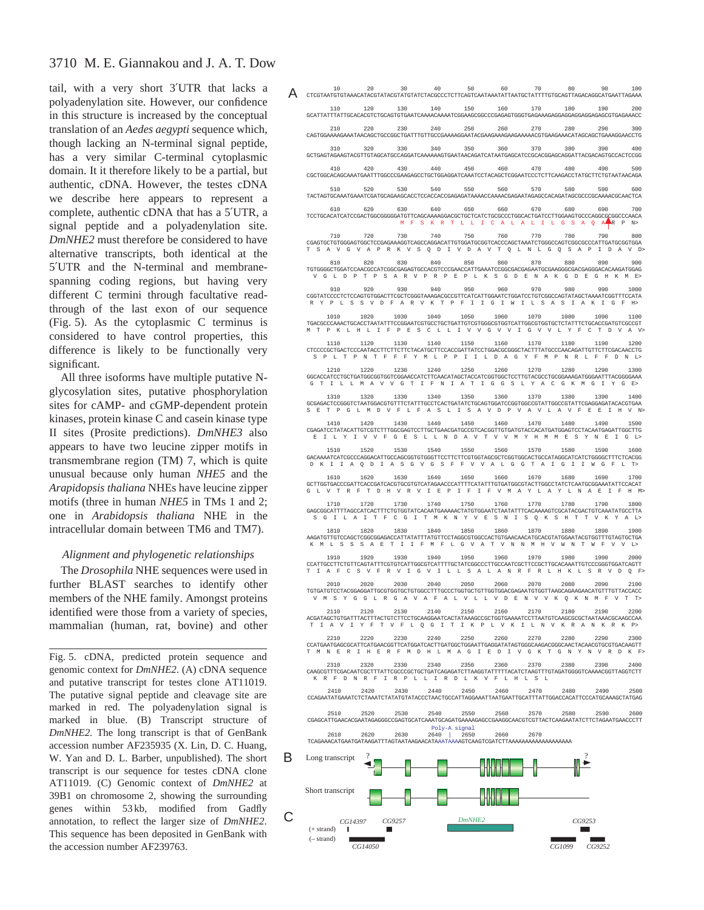# 3710 M. E. Giannakou and J. A. T. Dow

tail, with a very short 3′UTR that lacks a polyadenylation site. However, our confidence in this structure is increased by the conceptual translation of an *Aedes aegypti* sequence which, though lacking an N-terminal signal peptide, has a very similar C-terminal cytoplasmic domain. It it therefore likely to be a partial, but authentic, cDNA. However, the testes cDNA we describe here appears to represent a complete, authentic cDNA that has a 5′UTR, a signal peptide and a polyadenylation site. *DmNHE2* must therefore be considered to have alternative transcripts, both identical at the 5′UTR and the N-terminal and membranespanning coding regions, but having very different C termini through facultative readthrough of the last exon of our sequence (Fig. 5). As the cytoplasmic C terminus is considered to have control properties, this difference is likely to be functionally very significant.

All three isoforms have multiple putative Nglycosylation sites, putative phosphorylation sites for cAMP- and cGMP-dependent protein kinases, protein kinase C and casein kinase type II sites (Prosite predictions). *DmNHE3* also appears to have two leucine zipper motifs in transmembrane region (TM) 7, which is quite unusual because only human *NHE5* and the *Arapidopsis thaliana* NHEs have leucine zipper motifs (three in human *NHE5* in TMs 1 and 2; one in *Arabidopsis thaliana* NHE in the intracellular domain between TM6 and TM7).

# *Alignment and phylogenetic relationships*

The *Drosophila* NHE sequences were used in further BLAST searches to identify other members of the NHE family. Amongst proteins identified were those from a variety of species, mammalian (human, rat, bovine) and other

Fig. 5. cDNA, predicted protein sequence and genomic context for *DmNHE2*. (A) cDNA sequence and putative transcript for testes clone AT11019. The putative signal peptide and cleavage site are marked in red. The polyadenylation signal is marked in blue. (B) Transcript structure of *DmNHE2.* The long transcript is that of GenBank accession number AF235935 (X. Lin, D. C. Huang, W. Yan and D. L. Barber, unpublished). The short transcript is our sequence for testes cDNA clone AT11019. (C) Genomic context of *DmNHE2* at 39B1 on chromosome 2, showing the surrounding genes within 53 kb, modified from Gadfly annotation, to reflect the larger size of *DmNHE2*. This sequence has been deposited in GenBank with the accession number AF239763.

|                                                                                                                                                                                                                                                                                                                                                                          |      |      |                            |      | $\displaystyle \mathop{\mathbf{A}}\limits_{\scriptscriptstyle \mathtt{CTCGTARTGTRAACATACGTATACGTATGTRTCTAGTCACGCCCTCTTCAGTCARTAATATGTTATGCTATTTTTGTGCAGTTAGACAGGCATGAATTAGAA} \overline{\mathbb{A}}$ |      |                |           |                                      |
|--------------------------------------------------------------------------------------------------------------------------------------------------------------------------------------------------------------------------------------------------------------------------------------------------------------------------------------------------------------------------|------|------|----------------------------|------|------------------------------------------------------------------------------------------------------------------------------------------------------------------------------------------------------|------|----------------|-----------|--------------------------------------|
| 110<br>GCATTATTTATTGCACACGTCTGCAGTGTGAATCAAAACAAAATCGGAAGCGGCCCGAGAGTGGGTGAGAAAGAGGAGGAGGAGGAGCGTGAGAAACC                                                                                                                                                                                                                                                                |      |      |                            |      | $120$ $130$ $140$ $150$ $160$ $170$ $180$ $190$ $200$                                                                                                                                                |      |                |           |                                      |
| 210                                                                                                                                                                                                                                                                                                                                                                      |      |      |                            |      | 220 230 240 250 260 270 280 290 300                                                                                                                                                                  |      |                |           |                                      |
| GCTGAGTAGAAGTACGTTGTAGCATGCCAGGATCAAAAAAGTGAATAACAGATCATAATGAGCATCCGCACGGAGCAGGATTACGACAGTGCCACTCCGG                                                                                                                                                                                                                                                                     |      |      |                            |      | 310 320 330 340 350 360 370 380 390 400                                                                                                                                                              |      |                |           |                                      |
| 410<br>CGCTGGCACAGCAAATGAATTTGGCCCGAAGAGCCTGCTGCAGGATCAAATCCTACAGCTCGGAATCCCTCTTCAAGACCTATGCTTCTGTAATAACAGA                                                                                                                                                                                                                                                              | 420  | 430  |                            |      | 440 450 460 470                                                                                                                                                                                      |      | 480            | 490       | 500                                  |
| 510<br>TACTAGTGCAAATGAAATCGATGCAGAAGCACCTCCACCACCGAGAGATAAAACCAAAACGAGAATAGAGCCACAGATAGCGCCCCGCAAAACGCAACTCA                                                                                                                                                                                                                                                             | 520  |      |                            |      | 530 540 550 560                                                                                                                                                                                      | 570  | 580            | 590 600   |                                      |
| 610<br>TCCTGCACATCATCCGACTGGCGGGGGATGTTCAGCAAAAGGACGCTGCTCATCTGCGCCCTGGCACTGATCCTTGGAAGTGCCCAGGCGCGCCCAACA                                                                                                                                                                                                                                                               | 620  |      |                            |      | 630 640 650 660 670 680 690 700                                                                                                                                                                      |      |                |           |                                      |
| 710                                                                                                                                                                                                                                                                                                                                                                      | 720  |      |                            |      | MFSKRTLLICALALILGSAQA RPN><br>730 740 750 760 770                                                                                                                                                    |      | 780 790 800    |           |                                      |
| CGAGTGCTGTGGGAGTGGCTCCGAGAAAGGTCAGCCAGGACATTGTGGATGCGGTCACCCAGCTAAATCTGGGCCAGTCGGCGCCATTGATGCGGTGGA<br>T S A V G V A P R K V S Q D I V D A V T Q L N L G Q S A P I D A V D>                                                                                                                                                                                              |      |      |                            |      |                                                                                                                                                                                                      |      |                |           |                                      |
| TGTGGGGCTGGATCCAACGCCATCGGCGAGAGTGCCACGTCCCGAACCATTGAAATCCGGCGACGAGAATGCGAAGGGCGACGAGGACACAAGATGGAG                                                                                                                                                                                                                                                                      |      |      |                            |      | 810 820 830 840 850 860 870 880 890 900                                                                                                                                                              |      |                |           |                                      |
| V G L D P T P S A R V P R P E P L K S G D E N A K G D E G H K M E>                                                                                                                                                                                                                                                                                                       |      |      |                            |      | 910 920 930 940 950 960 970 980 990 1000                                                                                                                                                             |      |                |           |                                      |
| CGGTATCCCCTCTCCAGTGTGGACTTCGCTCGGGTAAAGACGCCGTTCATCATTGGAATCTGGATCCTGTCGGCCAGTATAGCTAAAATCGGTTTCCATA<br>RYPLSSVDFARVKTPFIIGIWILSASIAKIGFH>                                                                                                                                                                                                                               |      |      |                            |      |                                                                                                                                                                                                      |      |                |           |                                      |
| ${\tt TGACGCCCAAACTGCACCTAATATTTCCGGAATCGTGCCTGCTGATGCTGGGGCGTGGTCATTGGGCGTGGTCTCTATTTCTGCACCGATGTCGCCGT$<br>M T P K L H L I F P E S C L L I V V G V V I G V V L Y F C T D V A V>                                                                                                                                                                                        |      |      |                            |      | $1010 \qquad \quad 1020 \qquad \quad 1030 \qquad \quad 1040 \qquad \quad 1050 \qquad \quad 1060 \qquad \quad 1070 \qquad \quad 1080 \qquad \quad 1090 \qquad \quad 1100$                             |      |                |           |                                      |
| 1110                                                                                                                                                                                                                                                                                                                                                                     |      |      |                            |      | $1120$ $1130$ $1140$ $1150$ $1160$ $1170$ $1180$ $1190$ $1200$                                                                                                                                       |      |                |           |                                      |
| ${\tt CTCCCCGCTGACTCCCAATACCTTCTTCTTCCTACATGCTTCCACGATTATCCTGACGCGGGCTACTTTATGCCCAACAGATTGTTCTTCGACAACCTG}$<br>SPLTPNTFFFYMLPPIILDAGYFMPNRLFFDNL>                                                                                                                                                                                                                        |      |      |                            |      |                                                                                                                                                                                                      |      |                |           |                                      |
| 1210<br>GGCACCATCCTGCTGATGGCGGTGGTCGGAACCATCTTCAACATAGCTACCATCGGTGGCTCCTTGTACGCCTGCGGAAAGATGGGAATTTACGGGAAA<br>G T I L L M A V V G T I F N I A T I G G S L Y A C G K M G I Y G E>                                                                                                                                                                                        |      |      |                            |      | $1220 \qquad 1230 \qquad 1240 \qquad 1250 \qquad 1260 \qquad 1270 \qquad 1280 \qquad 1290 \qquad 1300$                                                                                               |      |                |           |                                      |
| 1310                                                                                                                                                                                                                                                                                                                                                                     | 1320 | 1330 | 1340 1350                  |      | 1360 1370                                                                                                                                                                                            |      | 1380 1390 1400 |           |                                      |
| GCGAGACTCCGGGTCTAATGGACGTGTTTCTATTTGCCTCACTGATATCTGCAGTGGATCCGGTGGCCGTATTGGCCGTATTCGAGGAGATACACGTGAA<br>S E T P G L M D V F L F A S L I S A V D P V A V L A V F E E I H V N>                                                                                                                                                                                             |      |      |                            |      |                                                                                                                                                                                                      |      |                |           |                                      |
| CGAGATCCTATACATTGTCGTCTTTGGCGAGTCCTTGCTGAACGATGCCGTCACGGTTGTGATGTACCACATGATGGAGTCCTACAATGAGATTGGCTTG<br>E I L Y I V V F G E S L L N D A V T V V M Y H M M E S Y N E I G L>                                                                                                                                                                                               | 1420 | 1430 | 1440                       | 1450 | 1460                                                                                                                                                                                                 | 1470 | 1480           | 1490      | 1500                                 |
| 1510                                                                                                                                                                                                                                                                                                                                                                     | 1520 |      | 1530 1540 1550             |      |                                                                                                                                                                                                      |      | 1560 1570 1580 | 1590 1600 |                                      |
| ${\tt GACAAAATCATCGCCCAGGACATTGCCAGGGGTGTGGGTTCCTTCTTCGTGGATGCGCTCGGTGGCACTGCCATAGGATCATCTGGGGCTTTCTCACGG$<br>D K I I A Q D I A S G V G S F F V V A L G G T A I G I I W G F L T>                                                                                                                                                                                         |      |      |                            |      |                                                                                                                                                                                                      |      |                |           |                                      |
| 1610 1620 1630 1640 1650 1660 1670 1680 1690 1700                                                                                                                                                                                                                                                                                                                        |      |      |                            |      |                                                                                                                                                                                                      |      |                |           |                                      |
|                                                                                                                                                                                                                                                                                                                                                                          |      |      |                            |      | GCTTGGTGACCCGATTCACCGATCACGTGCGTGTCATAGAACCCATTTTCATATTTGTGATGGCGTACTTGGCCTATCTCAATGCGGAAATATTCCACAT                                                                                                 |      |                |           |                                      |
|                                                                                                                                                                                                                                                                                                                                                                          |      |      |                            |      | $1710 \qquad 1720 \qquad 1730 \qquad 1740 \qquad 1750 \qquad 1760 \qquad 1770 \qquad 1780 \qquad 1790 \qquad 1800$                                                                                   |      |                |           |                                      |
| S G I L A I T F C G I T M K N Y V E S N I S Q K S H T T V K Y A L>                                                                                                                                                                                                                                                                                                       |      |      |                            |      |                                                                                                                                                                                                      |      |                |           |                                      |
|                                                                                                                                                                                                                                                                                                                                                                          |      |      |                            |      | $1810 \qquad \quad 1820 \qquad \quad 1830 \qquad \quad 1840 \qquad \quad 1850 \qquad \quad 1860 \qquad \quad 1870 \qquad \quad 1880 \qquad \quad 1890 \qquad \quad 1900$                             |      |                |           |                                      |
| K M L S S S A E T I I F M F L G V A T V N N M H V W N T W F V V L>                                                                                                                                                                                                                                                                                                       |      |      |                            |      | 1910 1920 1930 1940 1950 1960 1970 1980 1990 2000                                                                                                                                                    |      |                |           |                                      |
| G L V T R F T D H V R V I E P I F I F V M A Y L A Y L N A E I F H M><br>${\tt GAGCGGCATTTTAGCCATCACTTTCTGTGGGTATCACAATGAAAACTATGTGGAAATCTTAATATTTCACAAAAAGTCGCATACGACTGTCAAAATATGCCTTTA$<br>CCATTGCCTTCTGTTCAGTATTTCGTGTCATTGGCGTCATTTTGCTATCGGCCCTTGCCAATCGCTTCCGCTTGCACAAATTGTCCCGGGTGGATCAGTT<br>T I A F C S V F R V I G V I L L S A L A N R F R L H K L S R V D Q F> |      |      |                            |      |                                                                                                                                                                                                      |      |                |           |                                      |
| 2.0.1.0                                                                                                                                                                                                                                                                                                                                                                  |      |      |                            |      | 2020 2030 2040 2050 2060 2070 2080 2090 2100                                                                                                                                                         |      |                |           |                                      |
| V M S Y G G L R G A V A F A L V L L V D E N V V K Q K N M F V T T><br>2110                                                                                                                                                                                                                                                                                               | 2120 | 2130 | 2140                       | 2150 | 2160                                                                                                                                                                                                 | 2170 | 2180           | 2190      |                                      |
| ACGATAGCTGTGATTTACTTTACTGTCTTCCTGCAAGGAATCACTATAAAGCCGCTGGTGAAAATCCTTAATGTCAAGCGCGCTAATAAACGCAAGCCAA<br>T I A V I Y F T V F L Q G I T I K P L V K I L N V K R A N K R K P>                                                                                                                                                                                               |      |      |                            |      |                                                                                                                                                                                                      |      |                |           |                                      |
| AAGATGTTGTCCAGCTCGGCGGAGACCATTATATTTATGTTCCTAGGCGTGGCCACTGTGAACAACATGCACGTATGGAATACGTGGTTTGTAGTGCTGA<br>2210                                                                                                                                                                                                                                                             | 2220 | 2230 | 2240                       | 2250 | 2260                                                                                                                                                                                                 | 2270 | 2280           | 2290      |                                      |
| T M N E R I H E R F M D H L M A G I E D I V G K T G N Y N V R D K F><br>2310                                                                                                                                                                                                                                                                                             | 2320 | 2330 | 2340                       | 2350 | 2360                                                                                                                                                                                                 | 2370 | 2380           | 2390      |                                      |
| CAAGCGTTTCGACAATCGCTTTATTCGCCCGCTGCTGATCAGAGATCTTAAGGTATTTTTACATCTAAGTTTGTAGATGGGGTCAAAACGGTTAGGTCTT<br>K R F D N R F I R P L L I R D L K V F L H L S L                                                                                                                                                                                                                  |      |      |                            |      |                                                                                                                                                                                                      |      |                |           |                                      |
| 2410<br>CCAGAATATGAAATCTCTAAATCTATATGTATACCCTAACTGCCATTAGGAAATTAATGAATTGCATTTATTGGACCACATTCCCATGCAAAGCTATGAG                                                                                                                                                                                                                                                             | 2420 | 2430 | 2440                       | 2450 | 2460                                                                                                                                                                                                 | 2470 | 2480           | 2490      |                                      |
| 2510<br>CGAGCATTGAACACGAATAGAGGGCCGAGTGCATCAAATGCAGATGAAAAGAGCCGAAGGCAACGTCGTTACTCAAGAATATCTTCTAGAATGAACCCTT                                                                                                                                                                                                                                                             | 2520 | 2530 | 2540                       | 2550 | 2560                                                                                                                                                                                                 | 2570 | 2580           | 2590      |                                      |
| 2610                                                                                                                                                                                                                                                                                                                                                                     | 2620 | 2630 | Poly-A signal<br>2640 2650 |      | 2660                                                                                                                                                                                                 | 2670 |                |           |                                      |
|                                                                                                                                                                                                                                                                                                                                                                          |      |      |                            |      |                                                                                                                                                                                                      |      |                |           |                                      |
|                                                                                                                                                                                                                                                                                                                                                                          |      |      |                            |      |                                                                                                                                                                                                      |      |                |           |                                      |
| Long transcript<br>Short transcript                                                                                                                                                                                                                                                                                                                                      |      |      |                            |      |                                                                                                                                                                                                      |      |                |           | 2200<br>2300<br>2400<br>2500<br>2600 |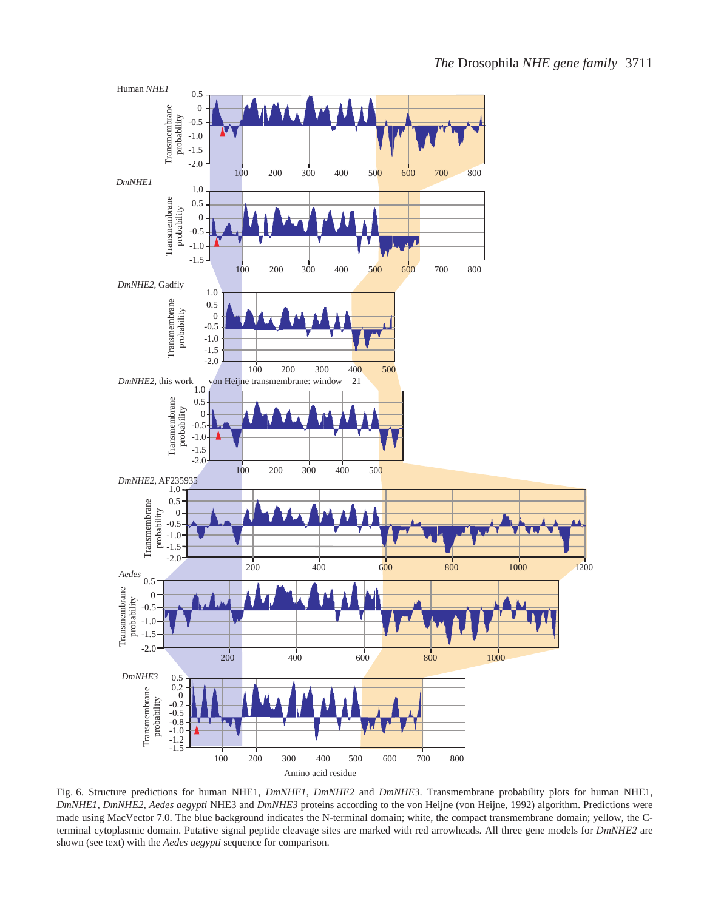

Fig. 6. Structure predictions for human NHE1, *DmNHE1*, *DmNHE2* and *DmNHE3*. Transmembrane probability plots for human NHE1, *DmNHE1*, *DmNHE2*, *Aedes aegypti* NHE3 and *DmNHE3* proteins according to the von Heijne (von Heijne, 1992) algorithm. Predictions were made using MacVector 7.0. The blue background indicates the N-terminal domain; white, the compact transmembrane domain; yellow, the Cterminal cytoplasmic domain. Putative signal peptide cleavage sites are marked with red arrowheads. All three gene models for *DmNHE2* are shown (see text) with the *Aedes aegypti* sequence for comparison.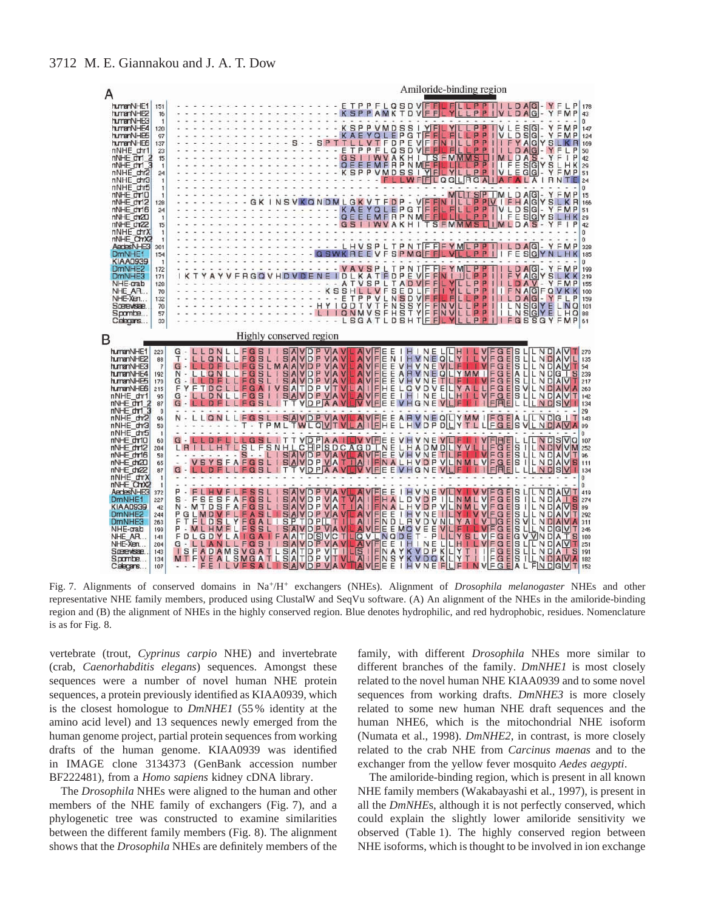

representative NHE family members, produced using ClustalW and SeqVu software. (A) An alignment of the NHEs in the amiloride-binding region and (B) the alignment of NHEs in the highly conserved region. Blue denotes hydrophilic, and red hydrophobic, residues. Nomenclature is as for Fig. 8.

vertebrate (trout, *Cyprinus carpio* NHE) and invertebrate (crab, *Caenorhabditis elegans*) sequences. Amongst these sequences were a number of novel human NHE protein sequences, a protein previously identified as KIAA0939, which is the closest homologue to *DmNHE1* (55 % identity at the amino acid level) and 13 sequences newly emerged from the human genome project, partial protein sequences from working drafts of the human genome. KIAA0939 was identified in IMAGE clone 3134373 (GenBank accession number BF222481), from a *Homo sapiens* kidney cDNA library.

The *Drosophila* NHEs were aligned to the human and other members of the NHE family of exchangers (Fig. 7), and a phylogenetic tree was constructed to examine similarities between the different family members (Fig. 8). The alignment shows that the *Drosophila* NHEs are definitely members of the

family, with different *Drosophila* NHEs more similar to different branches of the family. *DmNHE1* is most closely related to the novel human NHE KIAA0939 and to some novel sequences from working drafts. *DmNHE3* is more closely related to some new human NHE draft sequences and the human NHE6, which is the mitochondrial NHE isoform (Numata et al., 1998). *DmNHE2*, in contrast, is more closely related to the crab NHE from *Carcinus maenas* and to the exchanger from the yellow fever mosquito *Aedes aegypti*.

The amiloride-binding region, which is present in all known NHE family members (Wakabayashi et al., 1997), is present in all the *DmNHE*s, although it is not perfectly conserved, which could explain the slightly lower amiloride sensitivity we observed (Table 1). The highly conserved region between NHE isoforms, which is thought to be involved in ion exchange

# 3712 M. E. Giannakou and J. A. T. Dow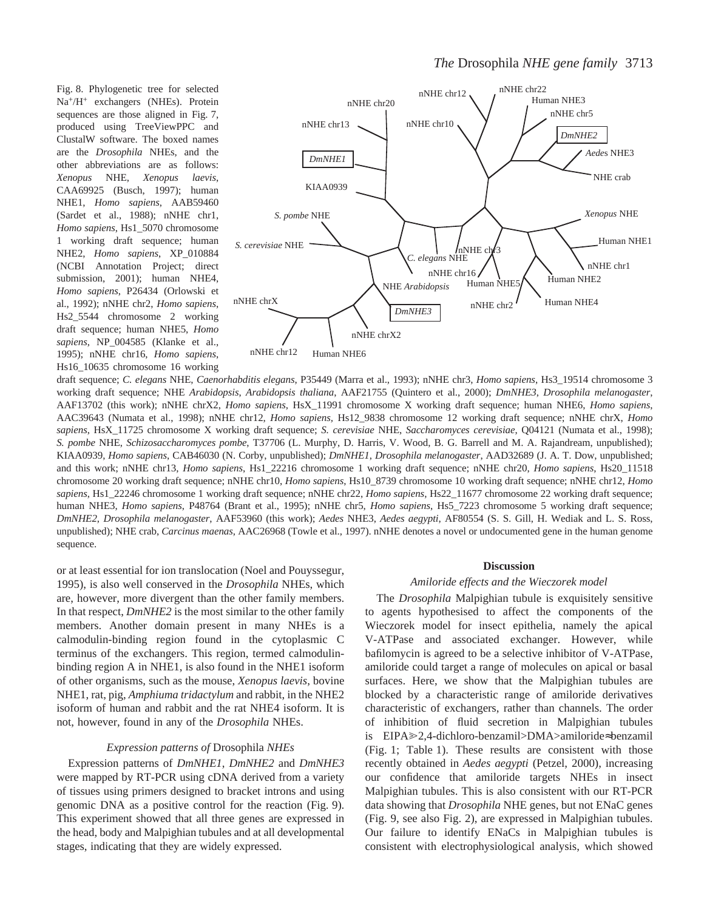Fig. 8. Phylogenetic tree for selected Na+/H+ exchangers (NHEs). Protein sequences are those aligned in Fig. 7, produced using TreeViewPPC and ClustalW software. The boxed names are the *Drosophila* NHEs, and the other abbreviations are as follows: *Xenopus* NHE, *Xenopus laevis*, CAA69925 (Busch, 1997); human NHE1, *Homo sapiens*, AAB59460 (Sardet et al., 1988); nNHE chr1, *Homo sapiens*, Hs1\_5070 chromosome 1 working draft sequence; human NHE2, *Homo sapiens*, XP\_010884 (NCBI Annotation Project; direct submission, 2001); human NHE4, *Homo sapiens*, P26434 (Orlowski et al., 1992); nNHE chr2, *Homo sapiens*, Hs2\_5544 chromosome 2 working draft sequence; human NHE5, *Homo sapiens*, NP\_004585 (Klanke et al., 1995); nNHE chr16, *Homo sapiens*, Hs16\_10635 chromosome 16 working



draft sequence; *C. elegans* NHE, *Caenorhabditis elegans*, P35449 (Marra et al., 1993); nNHE chr3, *Homo sapiens*, Hs3\_19514 chromosome 3 working draft sequence; NHE *Arabidopsis*, *Arabidopsis thaliana*, AAF21755 (Quintero et al., 2000); *DmNHE3*, *Drosophila melanogaster*, AAF13702 (this work); nNHE chrX2, *Homo sapiens*, HsX\_11991 chromosome X working draft sequence; human NHE6, *Homo sapiens*, AAC39643 (Numata et al., 1998); nNHE chr12, *Homo sapiens,* Hs12\_9838 chromosome 12 working draft sequence; nNHE chrX, *Homo sapiens*, HsX\_11725 chromosome X working draft sequence; *S. cerevisiae* NHE, *Saccharomyces cerevisiae*, Q04121 (Numata et al., 1998); *S. pombe* NHE, *Schizosaccharomyces pombe*, T37706 (L. Murphy, D. Harris, V. Wood, B. G. Barrell and M. A. Rajandream, unpublished); KIAA0939, *Homo sapiens*, CAB46030 (N. Corby, unpublished); *DmNHE1*, *Drosophila melanogaster*, AAD32689 (J. A. T. Dow, unpublished; and this work; nNHE chr13, *Homo sapiens*, Hs1\_22216 chromosome 1 working draft sequence; nNHE chr20, *Homo sapiens*, Hs20\_11518 chromosome 20 working draft sequence; nNHE chr10, *Homo sapiens*, Hs10\_8739 chromosome 10 working draft sequence; nNHE chr12, *Homo sapiens*, Hs1\_22246 chromosome 1 working draft sequence; nNHE chr22, *Homo sapiens*, Hs22\_11677 chromosome 22 working draft sequence; human NHE3, *Homo sapiens*, P48764 (Brant et al., 1995); nNHE chr5, *Homo sapiens*, Hs5\_7223 chromosome 5 working draft sequence; *DmNHE2*, *Drosophila melanogaster*, AAF53960 (this work); *Aedes* NHE3, *Aedes aegypti*, AF80554 (S. S. Gill, H. Wediak and L. S. Ross, unpublished); NHE crab, *Carcinus maenas*, AAC26968 (Towle et al., 1997). nNHE denotes a novel or undocumented gene in the human genome sequence.

or at least essential for ion translocation (Noel and Pouyssegur, 1995), is also well conserved in the *Drosophila* NHEs, which are, however, more divergent than the other family members. In that respect, *DmNHE2* is the most similar to the other family members. Another domain present in many NHEs is a calmodulin-binding region found in the cytoplasmic C terminus of the exchangers. This region, termed calmodulinbinding region A in NHE1, is also found in the NHE1 isoform of other organisms, such as the mouse, *Xenopus laevis*, bovine NHE1, rat, pig, *Amphiuma tridactylum* and rabbit, in the NHE2 isoform of human and rabbit and the rat NHE4 isoform. It is not, however, found in any of the *Drosophila* NHEs.

#### *Expression patterns of* Drosophila *NHEs*

Expression patterns of *DmNHE1*, *DmNHE2* and *DmNHE3* were mapped by RT-PCR using cDNA derived from a variety of tissues using primers designed to bracket introns and using genomic DNA as a positive control for the reaction (Fig. 9). This experiment showed that all three genes are expressed in the head, body and Malpighian tubules and at all developmental stages, indicating that they are widely expressed.

#### **Discussion**

#### *Amiloride effects and the Wieczorek model*

The *Drosophila* Malpighian tubule is exquisitely sensitive to agents hypothesised to affect the components of the Wieczorek model for insect epithelia, namely the apical V-ATPase and associated exchanger. However, while bafilomycin is agreed to be a selective inhibitor of V-ATPase, amiloride could target a range of molecules on apical or basal surfaces. Here, we show that the Malpighian tubules are blocked by a characteristic range of amiloride derivatives characteristic of exchangers, rather than channels. The order of inhibition of fluid secretion in Malpighian tubules is EIPA@2,4-dichloro-benzamil>DMA>amiloride≈benzamil (Fig. 1; Table 1). These results are consistent with those recently obtained in *Aedes aegypti* (Petzel, 2000), increasing our confidence that amiloride targets NHEs in insect Malpighian tubules. This is also consistent with our RT-PCR data showing that *Drosophila* NHE genes, but not ENaC genes (Fig. 9, see also Fig. 2), are expressed in Malpighian tubules. Our failure to identify ENaCs in Malpighian tubules is consistent with electrophysiological analysis, which showed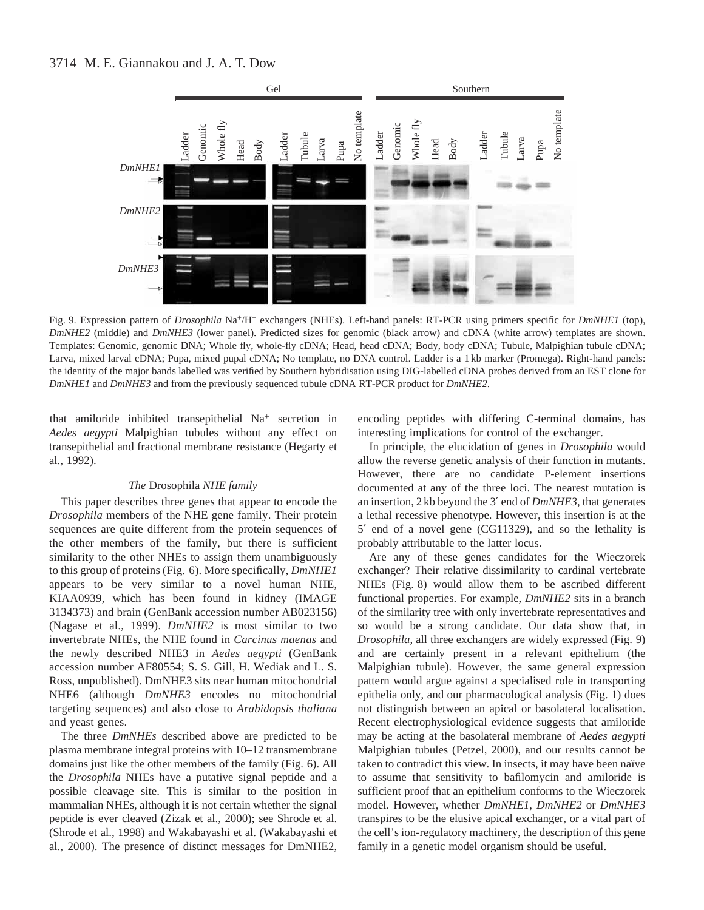# 3714 M. E. Giannakou and J. A. T. Dow



Fig. 9. Expression pattern of *Drosophila* Na+/H+ exchangers (NHEs). Left-hand panels: RT-PCR using primers specific for *DmNHE1* (top), *DmNHE2* (middle) and *DmNHE3* (lower panel). Predicted sizes for genomic (black arrow) and cDNA (white arrow) templates are shown. Templates: Genomic, genomic DNA; Whole fly, whole-fly cDNA; Head, head cDNA; Body, body cDNA; Tubule, Malpighian tubule cDNA; Larva, mixed larval cDNA; Pupa, mixed pupal cDNA; No template, no DNA control. Ladder is a 1 kb marker (Promega). Right-hand panels: the identity of the major bands labelled was verified by Southern hybridisation using DIG-labelled cDNA probes derived from an EST clone for

that amiloride inhibited transepithelial Na+ secretion in *Aedes aegypti* Malpighian tubules without any effect on transepithelial and fractional membrane resistance (Hegarty et al., 1992).

# *The* Drosophila *NHE family*

This paper describes three genes that appear to encode the *Drosophila* members of the NHE gene family. Their protein sequences are quite different from the protein sequences of the other members of the family, but there is sufficient similarity to the other NHEs to assign them unambiguously to this group of proteins (Fig. 6). More specifically, *DmNHE1* appears to be very similar to a novel human NHE, KIAA0939, which has been found in kidney (IMAGE 3134373) and brain (GenBank accession number AB023156) (Nagase et al., 1999). *DmNHE2* is most similar to two invertebrate NHEs, the NHE found in *Carcinus maenas* and the newly described NHE3 in *Aedes aegypti* (GenBank accession number AF80554; S. S. Gill, H. Wediak and L. S. Ross, unpublished). DmNHE3 sits near human mitochondrial NHE6 (although *DmNHE3* encodes no mitochondrial targeting sequences) and also close to *Arabidopsis thaliana* and yeast genes.

The three *DmNHEs* described above are predicted to be plasma membrane integral proteins with 10–12 transmembrane domains just like the other members of the family (Fig. 6). All the *Drosophila* NHEs have a putative signal peptide and a possible cleavage site. This is similar to the position in mammalian NHEs, although it is not certain whether the signal peptide is ever cleaved (Zizak et al., 2000); see Shrode et al. (Shrode et al., 1998) and Wakabayashi et al. (Wakabayashi et al., 2000). The presence of distinct messages for DmNHE2, encoding peptides with differing C-terminal domains, has interesting implications for control of the exchanger.

In principle, the elucidation of genes in *Drosophila* would allow the reverse genetic analysis of their function in mutants. However, there are no candidate P-element insertions documented at any of the three loci. The nearest mutation is an insertion, 2 kb beyond the 3′ end of *DmNHE3*, that generates a lethal recessive phenotype. However, this insertion is at the 5′ end of a novel gene (CG11329), and so the lethality is probably attributable to the latter locus.

Are any of these genes candidates for the Wieczorek exchanger? Their relative dissimilarity to cardinal vertebrate NHEs (Fig. 8) would allow them to be ascribed different functional properties. For example, *DmNHE2* sits in a branch of the similarity tree with only invertebrate representatives and so would be a strong candidate. Our data show that, in *Drosophila*, all three exchangers are widely expressed (Fig. 9) and are certainly present in a relevant epithelium (the Malpighian tubule). However, the same general expression pattern would argue against a specialised role in transporting epithelia only, and our pharmacological analysis (Fig. 1) does not distinguish between an apical or basolateral localisation. Recent electrophysiological evidence suggests that amiloride may be acting at the basolateral membrane of *Aedes aegypti* Malpighian tubules (Petzel, 2000), and our results cannot be taken to contradict this view. In insects, it may have been naïve to assume that sensitivity to bafilomycin and amiloride is sufficient proof that an epithelium conforms to the Wieczorek model. However, whether *DmNHE1*, *DmNHE2* or *DmNHE3* transpires to be the elusive apical exchanger, or a vital part of the cell's ion-regulatory machinery, the description of this gene family in a genetic model organism should be useful.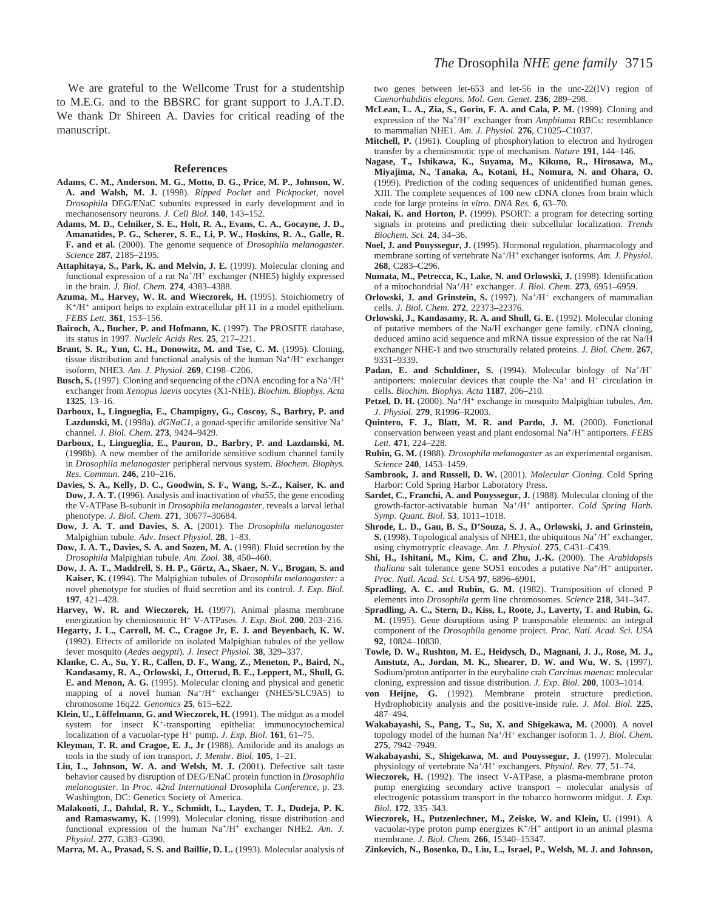We are grateful to the Wellcome Trust for a studentship to M.E.G. and to the BBSRC for grant support to J.A.T.D. We thank Dr Shireen A. Davies for critical reading of the manuscript.

#### **References**

- **Adams, C. M., Anderson, M. G., Motto, D. G., Price, M. P., Johnson, W. A. and Walsh, M. J.** (1998). *Ripped Pocket* and *Pickpocket*, novel *Drosophila* DEG/ENaC subunits expressed in early development and in mechanosensory neurons. *J. Cell Biol.* **140**, 143–152.
- **Adams, M. D., Celniker, S. E., Holt, R. A., Evans, C. A., Gocayne, J. D., Amanatides, P. G., Scherer, S. E., Li, P. W., Hoskins, R. A., Galle, R. F. and et al.** (2000). The genome sequence of *Drosophila melanogaster*. *Science* **287**, 2185–2195.
- **Attaphitaya, S., Park, K. and Melvin, J. E.** (1999). Molecular cloning and functional expression of a rat Na+/H+ exchanger (NHE5) highly expressed in the brain. *J. Biol. Chem.* **274**, 4383–4388.
- **Azuma, M., Harvey, W. R. and Wieczorek, H.** (1995). Stoichiometry of K+/H+ antiport helps to explain extracellular pH 11 in a model epithelium. *FEBS Lett.* **361**, 153–156.
- **Bairoch, A., Bucher, P. and Hofmann, K.** (1997). The PROSITE database, its status in 1997. *Nucleic Acids Res.* **25**, 217–221.
- **Brant, S. R., Yun, C. H., Donowitz, M. and Tse, C. M.** (1995). Cloning, tissue distribution and functional analysis of the human  $Na^+/H^+$  exchanger isoform, NHE3. *Am. J. Physiol*. **269**, C198–C206.
- **Busch, S.** (1997). Cloning and sequencing of the cDNA encoding for a Na+/H+ exchanger from *Xenopus laevis* oocytes (X1-NHE). *Biochim. Biophys. Acta* **1325**, 13–16.
- **Darboux, I., Lingueglia, E., Champigny, G., Coscoy, S., Barbry, P. and Lazdunski, M.** (1998a). *dGNaC1*, a gonad-specific amiloride sensitive Na<sup>+</sup> channel. *J. Biol. Chem.* **273**, 9424–9429.
- **Darboux, I., Lingueglia, E., Pauron, D., Barbry, P. and Lazdanski, M.** (1998b). A new member of the amiloride sensitive sodium channel family in *Drosophila melanogaster* peripheral nervous system. *Biochem. Biophys. Res. Commun.* **246**, 210–216.
- **Davies, S. A., Kelly, D. C., Goodwin, S. F., Wang, S.-Z., Kaiser, K. and Dow, J. A. T.** (1996). Analysis and inactivation of *vha55*, the gene encoding the V-ATPase B-subunit in *Drosophila melanogaster*, reveals a larval lethal phenotype. *J. Biol. Chem.* **271**, 30677–30684.
- **Dow, J. A. T. and Davies, S. A.** (2001). The *Drosophila melanogaster* Malpighian tubule. *Adv. Insect Physiol.* **28**, 1–83.
- **Dow, J. A. T., Davies, S. A. and Sozen, M. A.** (1998). Fluid secretion by the *Drosophila* Malpighian tubule. *Am. Zool.* **38**, 450–460.
- **Dow, J. A. T., Maddrell, S. H. P., Görtz, A., Skaer, N. V., Brogan, S. and Kaiser, K.** (1994). The Malpighian tubules of *Drosophila melanogaster:* a novel phenotype for studies of fluid secretion and its control. *J. Exp. Biol.* **197**, 421–428.
- **Harvey, W. R. and Wieczorek, H.** (1997). Animal plasma membrane energization by chemiosmotic H<sup>+</sup> V-ATPases. *J. Exp. Biol.* **200**, 203–216.
- **Hegarty, J. L., Carroll, M. C., Cragoe Jr, E. J. and Beyenbach, K. W.** (1992). Effects of amiloride on isolated Malpighian tubules of the yellow fever mosquito (*Aedes aegypti*). *J. Insect Physiol.* **38**, 329–337.
- **Klanke, C. A., Su, Y. R., Callen, D. F., Wang, Z., Meneton, P., Baird, N., Kandasamy, R. A., Orlowski, J., Otterud, B. E., Leppert, M., Shull, G. E. and Menon, A. G.** (1995). Molecular cloning and physical and genetic mapping of a novel human Na+/H+ exchanger (NHE5/SLC9A5) to chromosome 16q22*. Genomics* **25**, 615–622.
- **Klein, U., Löffelmann, G. and Wieczorek, H.** (1991). The midgut as a model system for insect K+-transporting epithelia: immunocytochemical localization of a vacuolar-type H+ pump. *J. Exp. Biol.* **161**, 61–75.
- **Kleyman, T. R. and Cragoe, E. J., Jr** (1988). Amiloride and its analogs as tools in the study of ion transport. *J. Membr. Biol.* **105**, 1–21.
- **Liu, L., Johnson, W. A. and Welsh, M. J.** (2001). Defective salt taste behavior caused by disruption of DEG/ENaC protein function in *Drosophila melanogaster*. In *Proc. 42nd International* Drosophila *Conference*, p. 23. Washington, DC: Genetics Society of America.
- **Malakooti, J., Dahdal, R. Y., Schmidt, L., Layden, T. J., Dudeja, P. K. and Ramaswamy, K.** (1999). Molecular cloning, tissue distribution and functional expression of the human Na+/H+ exchanger NHE2. *Am. J. Physiol.* **277**, G383–G390.

**Marra, M. A., Prasad, S. S. and Baillie, D. L.** (1993). Molecular analysis of

two genes between let-653 and let-56 in the unc-22(IV) region of *Caenorhabditis elegans. Mol. Gen. Genet*. **236**, 289–298.

- **McLean, L. A., Zia, S., Gorin, F. A. and Cala, P. M.** (1999). Cloning and expression of the Na+/H+ exchanger from *Amphiuma* RBCs: resemblance to mammalian NHE1. *Am. J. Physiol.* **276**, C1025–C1037.
- **Mitchell, P.** (1961). Coupling of phosphorylation to electron and hydrogen transfer by a chemiosmotic type of mechanism. *Nature* **191**, 144–146.
- **Nagase, T., Ishikawa, K., Suyama, M., Kikuno, R., Hirosawa, M., Miyajima, N., Tanaka, A., Kotani, H., Nomura, N. and Ohara, O.** (1999). Prediction of the coding sequences of unidentified human genes. XIII. The complete sequences of 100 new cDNA clones from brain which code for large proteins *in vitro*. *DNA Res.* **6**, 63–70.
- **Nakai, K. and Horton, P.** (1999). PSORT: a program for detecting sorting signals in proteins and predicting their subcellular localization. *Trends Biochem. Sci*. **24**, 34–36.
- **Noel, J. and Pouyssegur, J.** (1995). Hormonal regulation, pharmacology and membrane sorting of vertebrate Na+/H+ exchanger isoforms. *Am. J. Physiol.* **268**, C283–C296.
- **Numata, M., Petrecca, K., Lake, N. and Orlowski, J.** (1998). Identification of a mitochondrial Na+/H+ exchanger. *J. Biol. Chem.* **273**, 6951–6959.
- **Orlowski, J. and Grinstein, S.** (1997). Na<sup>+</sup>/H<sup>+</sup> exchangers of mammalian cells. *J. Biol. Chem.* **272**, 22373–22376.
- **Orlowski, J., Kandasamy, R. A. and Shull, G. E.** (1992). Molecular cloning of putative members of the Na/H exchanger gene family. cDNA cloning, deduced amino acid sequence and mRNA tissue expression of the rat Na/H exchanger NHE-1 and two structurally related proteins. *J. Biol. Chem*. **267**, 9331–9339.
- Padan, E. and Schuldiner, S. (1994). Molecular biology of Na<sup>+</sup>/H<sup>+</sup> antiporters: molecular devices that couple the  $Na<sup>+</sup>$  and  $H<sup>+</sup>$  circulation in cells. *Biochim. Biophys. Acta* **1187**, 206–210.
- Petzel, D. H. (2000). Na<sup>+</sup>/H<sup>+</sup> exchange in mosquito Malpighian tubules. Am. *J. Physiol.* **279**, R1996–R2003.
- **Quintero, F. J., Blatt, M. R. and Pardo, J. M.** (2000). Functional conservation between yeast and plant endosomal Na+/H+ antiporters. *FEBS Lett*. **471**, 224–228.
- **Rubin, G. M.** (1988). *Drosophila melanogaster* as an experimental organism. *Science* **240**, 1453–1459.
- **Sambrook, J. and Russell, D. W.** (2001). *Molecular Cloning*. Cold Spring Harbor: Cold Spring Harbor Laboratory Press.
- **Sardet, C., Franchi, A. and Pouyssegur, J.** (1988). Molecular cloning of the growth-factor-activatable human Na+/H+ antiporter. *Cold Spring Harb. Symp. Quant. Biol.* **53**, 1011–1018.
- **Shrode, L. D., Gau, B. S., D'Souza, S. J. A., Orlowski, J. and Grinstein, S.** (1998). Topological analysis of NHE1, the ubiquitous Na<sup>+</sup>/H<sup>+</sup> exchanger, using chymotryptic cleavage. *Am. J. Physiol.* **275**, C431–C439.
- **Shi, H., Ishitani, M., Kim, C. and Zhu, J.-K.** (2000). The *Arabidopsis thaliana* salt tolerance gene SOS1 encodes a putative Na<sup>+</sup>/H<sup>+</sup> antiporter. *Proc. Natl. Acad. Sci. USA* **97**, 6896–6901.
- **Spradling, A. C. and Rubin, G. M.** (1982). Transposition of cloned P elements into *Drosophila* germ line chromosomes. *Science* **218**, 341–347.
- **Spradling, A. C., Stern, D., Kiss, I., Roote, J., Laverty, T. and Rubin, G. M.** (1995). Gene disruptions using P transposable elements: an integral component of the *Drosophila* genome project. *Proc. Natl. Acad. Sci. USA* **92**, 10824–10830.
- **Towle, D. W., Rushton, M. E., Heidysch, D., Magnani, J. J., Rose, M. J., Amstutz, A., Jordan, M. K., Shearer, D. W. and Wu, W. S.** (1997). Sodium/proton antiporter in the euryhaline crab *Carcinus maenas*: molecular cloning, expression and tissue distribution. *J. Exp. Biol.* **200**, 1003–1014.
- **von Heijne, G.** (1992). Membrane protein structure prediction. Hydrophobicity analysis and the positive-inside rule. *J. Mol. Biol.* **225**, 487–494.
- **Wakabayashi, S., Pang, T., Su, X. and Shigekawa, M.** (2000). A novel topology model of the human Na+/H+ exchanger isoform 1. *J. Biol. Chem.* **275**, 7942–7949.
- **Wakabayashi, S., Shigekawa, M. and Pouyssegur, J.** (1997). Molecular physiology of vertebrate Na+/H+ exchangers. *Physiol. Rev.* **77**, 51–74.
- **Wieczorek, H.** (1992). The insect V-ATPase, a plasma-membrane proton pump energizing secondary active transport – molecular analysis of electrogenic potassium transport in the tobacco hornworm midgut. *J. Exp. Biol.* **172**, 335–343.
- **Wieczorek, H., Putzenlechner, M., Zeiske, W. and Klein, U.** (1991). A vacuolar-type proton pump energizes  $K^+/H^+$  antiport in an animal plasma membrane. *J. Biol. Chem.* **266**, 15340–15347.
- **Zinkevich, N., Bosenko, D., Liu, L., Israel, P., Welsh, M. J. and Johnson,**